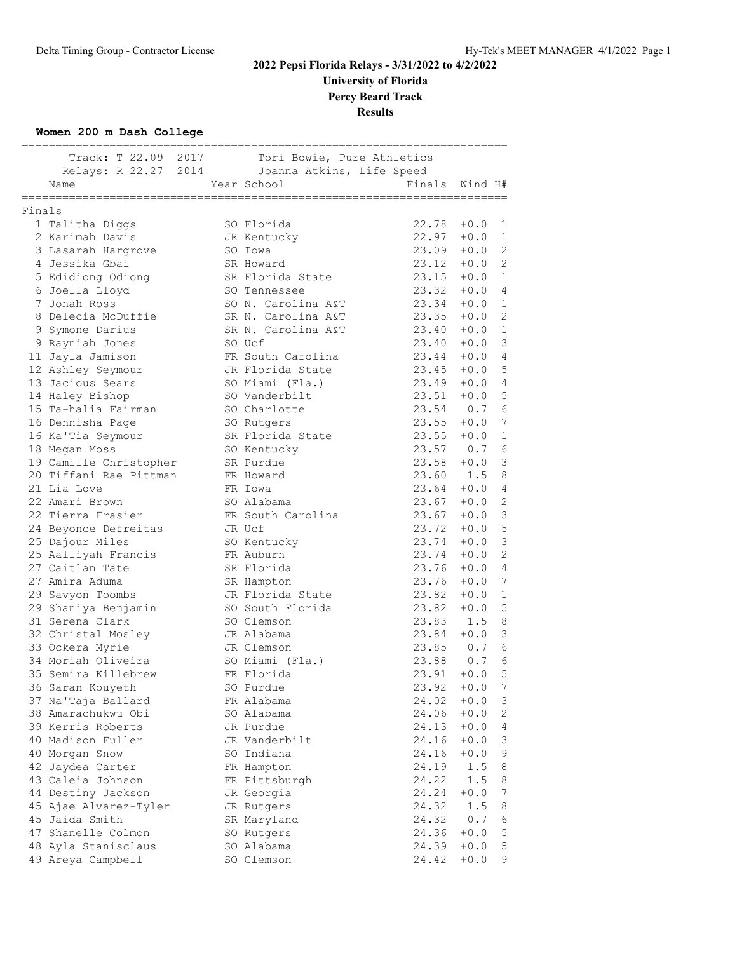**University of Florida Percy Beard Track**

**Results**

#### **Women 200 m Dash College**

|        | Track: T 22.09 2017 Tori Bowie, Pure Athletics |             |                    |               |         |                |
|--------|------------------------------------------------|-------------|--------------------|---------------|---------|----------------|
|        | Relays: R 22.27 2014 Joanna Atkins, Life Speed |             |                    |               |         |                |
|        | Name                                           | Year School |                    | Finals        | Wind H# |                |
|        | =============<br>========================      |             |                    |               |         |                |
| Finals |                                                |             |                    |               |         |                |
|        | 1 Talitha Diggs                                |             | SO Florida         | $22.78 + 0.0$ |         | 1              |
|        | 2 Karimah Davis                                |             | JR Kentucky        | $22.97 + 0.0$ |         | <sup>1</sup>   |
|        | 3 Lasarah Hargrove                             |             | SO Iowa            | $23.09 + 0.0$ |         | $\overline{2}$ |
|        | 4 Jessika Gbai                                 |             | SR Howard          | $23.12 + 0.0$ |         | 2              |
|        | 5 Edidiong Odiong                              |             | SR Florida State   | $23.15 + 0.0$ |         | 1              |
|        | 6 Joella Lloyd                                 |             | SO Tennessee       | 23.32         | $+0.0$  | 4              |
|        | 7 Jonah Ross                                   |             | SO N. Carolina A&T | 23.34         | $+0.0$  | 1              |
|        | 8 Delecia McDuffie                             |             | SR N. Carolina A&T | 23.35         | $+0.0$  | 2              |
|        | 9 Symone Darius                                |             | SR N. Carolina A&T | 23.40         | $+0.0$  | 1              |
|        | 9 Rayniah Jones                                |             | SO Ucf             | 23.40         | $+0.0$  | 3              |
|        | 11 Jayla Jamison                               |             | FR South Carolina  | 23.44         | $+0.0$  | $\overline{4}$ |
|        | 12 Ashley Seymour                              |             | JR Florida State   | 23.45         | $+0.0$  | 5              |
|        | 13 Jacious Sears                               |             | SO Miami (Fla.)    | $23.49 + 0.0$ |         | 4              |
|        | 14 Haley Bishop                                |             | SO Vanderbilt      | $23.51 + 0.0$ |         | 5              |
|        | 15 Ta-halia Fairman                            |             | SO Charlotte       | 23.54         | 0.7     | 6              |
|        | 16 Dennisha Page                               |             | SO Rutgers         | 23.55         | $+0.0$  | 7              |
|        | 16 Ka'Tia Seymour                              |             | SR Florida State   | 23.55         | $+0.0$  | 1              |
|        | 18 Megan Moss                                  |             | SO Kentucky        | 23.57 0.7     |         | 6              |
|        | 19 Camille Christopher                         |             | SR Purdue          | $23.58 + 0.0$ |         | 3              |
|        | 20 Tiffani Rae Pittman                         |             | FR Howard          | 23.60 1.5     |         | 8              |
|        | 21 Lia Love                                    |             | FR Iowa            | 23.64         | $+0.0$  | 4              |
|        | 22 Amari Brown                                 |             | SO Alabama         | $23.67 + 0.0$ |         | $\mathbf{2}$   |
|        | 22 Tierra Frasier                              |             | FR South Carolina  | $23.67 + 0.0$ |         | 3              |
|        | 24 Beyonce Defreitas                           |             | JR Ucf             | $23.72 + 0.0$ |         | 5              |
|        | 25 Dajour Miles                                |             | SO Kentucky        | $23.74 + 0.0$ |         | 3              |
|        | 25 Aalliyah Francis                            |             | FR Auburn          | 23.74         | $+0.0$  | 2              |
|        | 27 Caitlan Tate                                |             | SR Florida         | 23.76         | $+0.0$  | 4              |
|        | 27 Amira Aduma                                 |             | SR Hampton         | 23.76         | $+0.0$  | 7              |
|        | 29 Savyon Toombs                               |             | JR Florida State   | 23.82         | $+0.0$  | 1              |
|        | 29 Shaniya Benjamin                            |             | SO South Florida   | 23.82         | $+0.0$  | 5              |
|        | 31 Serena Clark                                |             | SO Clemson         | 23.83         | 1.5     | 8              |
|        | 32 Christal Mosley                             |             | JR Alabama         | 23.84         | $+0.0$  | 3              |
|        | 33 Ockera Myrie                                |             | JR Clemson         | 23.85 0.7     |         | 6              |
|        | 34 Moriah Oliveira                             |             | SO Miami (Fla.)    | 23.88 0.7     |         | 6              |
|        | 35 Semira Killebrew                            |             | FR Florida         | 23.91         | $+0.0$  | 5              |
|        | 36 Saran Kouyeth                               |             | SO Purdue          | 23.92         | $+0.0$  | 7              |
|        | 37 Na'Taja Ballard                             |             | FR Alabama         | 24.02         | $+0.0$  | 3              |
|        | 38 Amarachukwu Obi                             |             | SO Alabama         | 24.06         | $+0.0$  | 2              |
|        | 39 Kerris Roberts                              |             | JR Purdue          | 24.13         | $+0.0$  | 4              |
|        | 40 Madison Fuller                              |             | JR Vanderbilt      | 24.16         | $+0.0$  | 3              |
|        | 40 Morgan Snow                                 |             | SO Indiana         | 24.16         | $+0.0$  | 9              |
|        | 42 Jaydea Carter                               |             | FR Hampton         | 24.19         | 1.5     | 8              |
|        | 43 Caleia Johnson                              |             | FR Pittsburgh      | 24.22         | 1.5     | 8              |
|        | 44 Destiny Jackson                             |             | JR Georgia         | 24.24         | $+0.0$  | 7              |
|        | 45 Ajae Alvarez-Tyler                          |             | JR Rutgers         | 24.32         | 1.5     | 8              |
|        | 45 Jaida Smith                                 |             | SR Maryland        | 24.32         | 0.7     | 6              |
|        | 47 Shanelle Colmon                             |             | SO Rutgers         | 24.36         | $+0.0$  | 5              |
|        | 48 Ayla Stanisclaus                            |             | SO Alabama         | 24.39         | $+0.0$  | 5              |
|        | 49 Areya Campbell                              |             | SO Clemson         | 24.42         | $+0.0$  | 9              |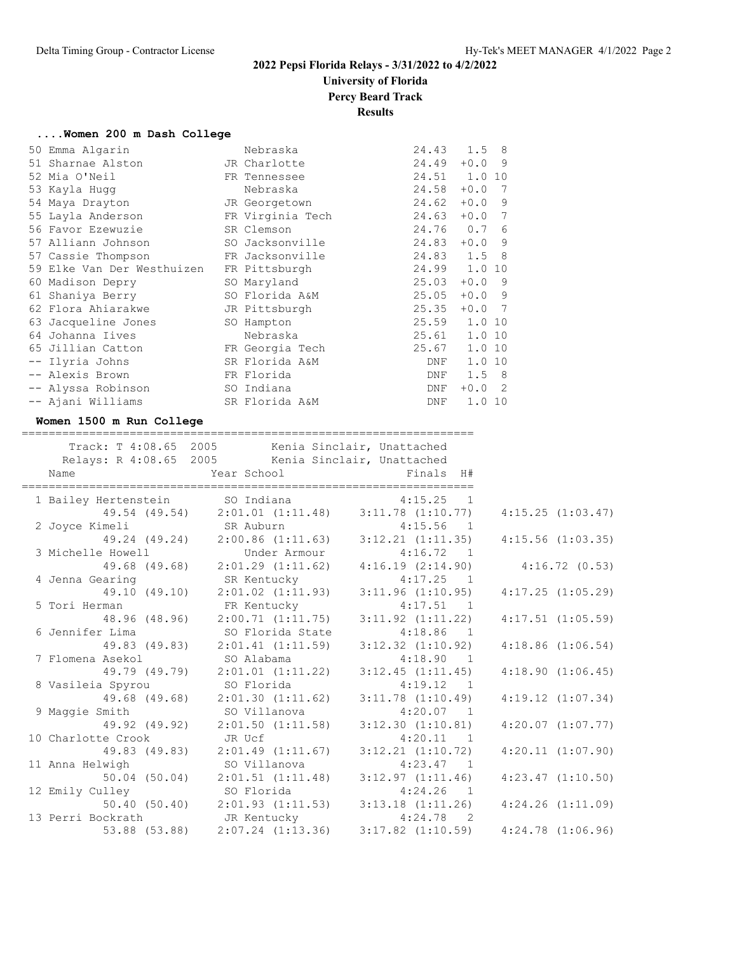# **University of Florida**

**Percy Beard Track**

**Results**

|  |  |  |  |  |  |  | Women 200 m Dash College |
|--|--|--|--|--|--|--|--------------------------|
|--|--|--|--|--|--|--|--------------------------|

|  | 50 Emma Algarin                          | Nebraska         |              | 24.43 1.5 8   |                |
|--|------------------------------------------|------------------|--------------|---------------|----------------|
|  | 51 Sharnae Alston                        | JR Charlotte     | 24.49        | $+0.0$        | - 9            |
|  | 52 Mia O'Neil                            | FR Tennessee     | $24.51$ 1.0  |               | 10             |
|  | 53 Kayla Hugg                            | Nebraska         | 24.58        | $+0.0$        | $\overline{7}$ |
|  | 54 Maya Drayton                          | JR Georgetown    | 24.62        | $+0.0$ 9      |                |
|  | 55 Layla Anderson                        | FR Virginia Tech | 24.63        | $+0.0$        | 7              |
|  | 56 Favor Ezewuzie                        | SR Clemson       | 24.76 0.7 6  |               |                |
|  | 57 Alliann Johnson                       | SO Jacksonville  | 24.83        | $+0.0$ 9      |                |
|  | 57 Cassie Thompson                       | FR Jacksonville  | 24.83 1.5 8  |               |                |
|  | 59 Elke Van Der Westhuizen FR Pittsburgh |                  | 24.99 1.0    |               | 10             |
|  | 60 Madison Depry                         | SO Maryland      | 25.03        | $+0.0$ 9      |                |
|  | 61 Shaniya Berry                         | SO Florida A&M   | 25.05        | $+0.0$ 9      |                |
|  | 62 Flora Ahiarakwe                       | JR Pittsburgh    | 25.35        | $+0.0$ 7      |                |
|  | 63 Jacqueline Jones                      | SO Hampton       | 25.59 1.0 10 |               |                |
|  | 64 Johanna Iives                         | Nebraska         | 25.61 1.0 10 |               |                |
|  | 65 Jillian Catton                        | FR Georgia Tech  | 25.67        | 1.0 10        |                |
|  | -- Ilyria Johns                          | SR Florida A&M   | DNF          | 1.0 10        |                |
|  | -- Alexis Brown                          | FR Florida       | DNF          | $1.5 \quad 8$ |                |
|  | -- Alyssa Robinson                       | SO Indiana       | DNF          | $+0.0$ 2      |                |
|  | -- Ajani Williams                        | SR Florida A&M   | DNF          | 1.0           | 10             |
|  |                                          |                  |              |               |                |

#### **Women 1500 m Run College**

===================================================================

|                    | Track: T 4:08.65 2005 Kenia Sinclair, Unattached                    |                       |                       |
|--------------------|---------------------------------------------------------------------|-----------------------|-----------------------|
|                    | Relays: R 4:08.65 2005 Kenia Sinclair, Unattached                   |                       |                       |
| Name               |                                                                     |                       |                       |
|                    | 1 Bailey Hertenstein SO Indiana 1:15.25 1                           |                       |                       |
|                    | 49.54 (49.54) 2:01.01 (1:11.48) 3:11.78 (1:10.77)                   |                       | 4:15.25(1:03.47)      |
|                    | 2 Joyce Kimeli SR Auburn 4:15.56 1                                  |                       |                       |
|                    | 49.24 (49.24) 2:00.86 (1:11.63) 3:12.21 (1:11.35)                   |                       | $4:15.56$ $(1:03.35)$ |
|                    | 3 Michelle Howell <b>Brand</b> Under Armour                         | $4:16.72$ 1           |                       |
|                    | 49.68 (49.68) 2:01.29 (1:11.62) 4:16.19 (2:14.90) 4:16.72 (0.53)    |                       |                       |
| 4 Jenna Gearing    | SR Kentucky $4:17.25$ 1                                             |                       |                       |
| 49.10 (49.10)      | $2:01.02$ $(1:11.93)$                                               | 3:11.96(1:10.95)      | 4:17.25(1:05.29)      |
| 5 Tori Herman      | FR Kentucky                                                         | $4:17.51$ 1           |                       |
|                    | 48.96 (48.96) 2:00.71 (1:11.75)                                     | $3:11.92$ $(1:11.22)$ | $4:17.51$ $(1:05.59)$ |
| 6 Jennifer Lima    | SO Florida State                                                    | $4:18.86$ 1           |                       |
| 49.83 (49.83)      | $2:01.41$ $(1:11.59)$                                               | $3:12.32$ $(1:10.92)$ | $4:18.86$ $(1:06.54)$ |
| 7 Flomena Asekol   | SO Alabama                                                          | 4:18.90 1             |                       |
|                    | 49.79 (49.79) 2:01.01 (1:11.22) 3:12.45 (1:11.45)                   |                       | 4:18.90(1:06.45)      |
| 8 Vasileia Spyrou  | SO Florida                                                          | $4:19.12$ 1           |                       |
| 49.68 (49.68)      | 2:01.30(1:11.62)                                                    | 3:11.78(1:10.49)      | $4:19.12$ $(1:07.34)$ |
| 9 Maggie Smith     | SO Villanova                                                        | $4:20.07$ 1           |                       |
|                    | 49.92 (49.92) 2:01.50 (1:11.58) 3:12.30 (1:10.81)                   |                       | $4:20.07$ $(1:07.77)$ |
| 10 Charlotte Crook | JR Ucf                                                              | $4:20.11$ 1           |                       |
| 49.83 (49.83)      | 2:01.49(1:11.67)                                                    | $3:12.21$ $(1:10.72)$ | 4:20.11(1:07.90)      |
| 11 Anna Helwigh    | SO Villanova                                                        | $4:23.47$ 1           |                       |
| 50.04(50.04)       | $2:01.51$ $(1:11.48)$ $3:12.97$ $(1:11.46)$                         |                       | $4:23.47$ $(1:10.50)$ |
| 12 Emily Culley    | SO Florida 4:24.26 1                                                |                       |                       |
|                    | $50.40(50.40)$ $2:01.93(1:11.53)$ $3:13.18(1:11.26)$                |                       | $4:24.26$ $(1:11.09)$ |
|                    | 13 Perri Bockrath JR Kentucky                                       | $4:24.78$ 2           |                       |
|                    | 53.88 (53.88) 2:07.24 (1:13.36) 3:17.82 (1:10.59) 4:24.78 (1:06.96) |                       |                       |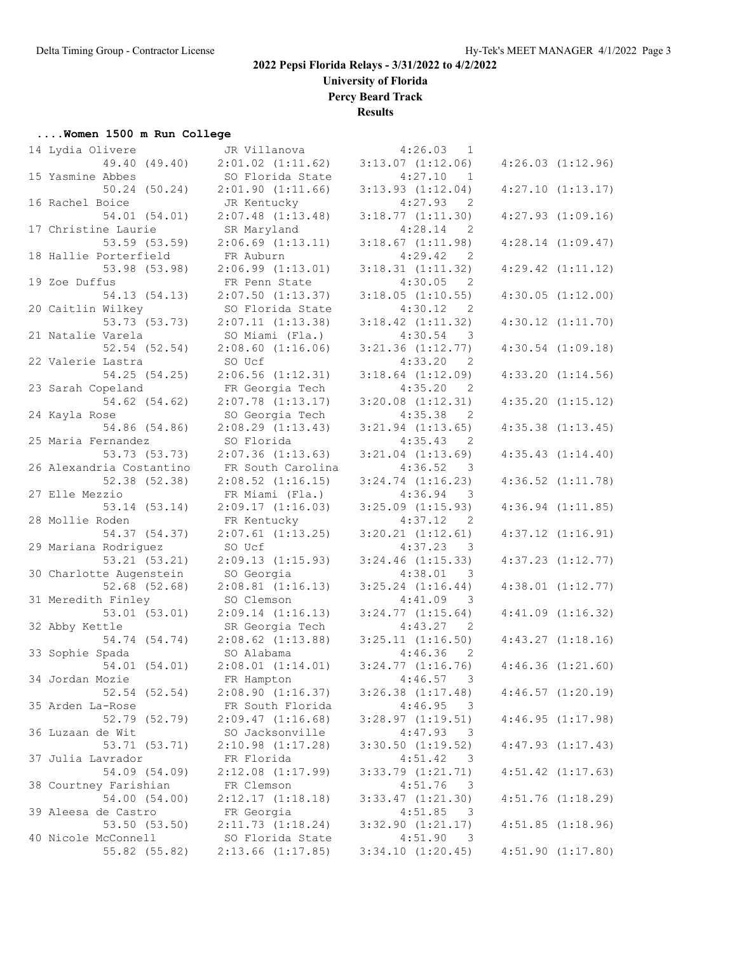**University of Florida**

**Percy Beard Track**

**Results**

#### **....Women 1500 m Run College**

| 14 Lydia Olivere         | JR Villanova          | 4:26.03<br>1                        |                       |
|--------------------------|-----------------------|-------------------------------------|-----------------------|
| 49.40 (49.40)            | $2:01.02$ $(1:11.62)$ | $3:13.07$ $(1:12.06)$               | $4:26.03$ $(1:12.96)$ |
| 15 Yasmine Abbes         | SO Florida State      | 4:27.10<br>1                        |                       |
| $50.24$ $(50.24)$        | $2:01.90$ $(1:11.66)$ | $3:13.93$ $(1:12.04)$               | $4:27.10$ $(1:13.17)$ |
| 16 Rachel Boice          | JR Kentucky           | 4:27.93<br>2                        |                       |
| 54.01 (54.01)            | $2:07.48$ $(1:13.48)$ | 3:18.77(1:11.30)                    | $4:27.93$ $(1:09.16)$ |
| 17 Christine Laurie      | SR Maryland           | 4:28.14<br>- 2                      |                       |
| 53.59 (53.59)            | $2:06.69$ $(1:13.11)$ | 3:18.67(1:11.98)                    | $4:28.14$ $(1:09.47)$ |
| 18 Hallie Porterfield    | FR Auburn             | 4:29.42<br>2                        |                       |
| 53.98 (53.98)            | $2:06.99$ $(1:13.01)$ | $3:18.31$ $(1:11.32)$               | $4:29.42$ $(1:11.12)$ |
| 19 Zoe Duffus            | FR Penn State         | 4:30.05<br>2                        |                       |
| 54.13 (54.13)            | $2:07.50$ $(1:13.37)$ | $3:18.05$ $(1:10.55)$               | $4:30.05$ $(1:12.00)$ |
| 20 Caitlin Wilkey        | SO Florida State      | 4:30.12<br>2                        |                       |
| 53.73 (53.73)            | 2:07.11(1:13.38)      | $3:18.42$ $(1:11.32)$               | $4:30.12$ $(1:11.70)$ |
| 21 Natalie Varela        | SO Miami (Fla.)       | 4:30.54<br>3                        |                       |
| 52.54 (52.54)            | $2:08.60$ $(1:16.06)$ | $3:21.36$ $(1:12.77)$               | $4:30.54$ $(1:09.18)$ |
| 22 Valerie Lastra        | SO Ucf                | 2                                   |                       |
|                          |                       | 4:33.20                             |                       |
| 54.25 (54.25)            | $2:06.56$ $(1:12.31)$ | $3:18.64$ $(1:12.09)$               | $4:33.20$ $(1:14.56)$ |
| 23 Sarah Copeland        | FR Georgia Tech       | 4:35.20<br>$\overline{2}$           |                       |
| 54.62 (54.62)            | $2:07.78$ $(1:13.17)$ | $3:20.08$ $(1:12.31)$               | $4:35.20$ $(1:15.12)$ |
| 24 Kayla Rose            | SO Georgia Tech       | 4:35.38<br>2                        |                       |
| 54.86 (54.86)            | 2:08.29(1:13.43)      | $3:21.94$ $(1:13.65)$               | $4:35.38$ $(1:13.45)$ |
| 25 Maria Fernandez       | SO Florida            | 4:35.43<br>2                        |                       |
| 53.73 (53.73)            | $2:07.36$ $(1:13.63)$ | $3:21.04$ $(1:13.69)$               | 4:35.43(1:14.40)      |
| 26 Alexandria Costantino | FR South Carolina     | 4:36.52<br>3                        |                       |
| 52.38 (52.38)            | $2:08.52$ $(1:16.15)$ | $3:24.74$ $(1:16.23)$               | $4:36.52$ $(1:11.78)$ |
| 27 Elle Mezzio           | FR Miami (Fla.)       | 4:36.94<br>3                        |                       |
| 53.14 (53.14)            | 2:09.17(1:16.03)      | $3:25.09$ $(1:15.93)$               | $4:36.94$ $(1:11.85)$ |
| 28 Mollie Roden          | FR Kentucky           | 4:37.12<br>2                        |                       |
| 54.37 (54.37)            | $2:07.61$ $(1:13.25)$ | $3:20.21$ $(1:12.61)$               | $4:37.12$ $(1:16.91)$ |
| 29 Mariana Rodriguez     | SO Ucf                | 4:37.23<br>- 3                      |                       |
| 53.21(53.21)             | 2:09.13(1:15.93)      | $3:24.46$ $(1:15.33)$               | $4:37.23$ $(1:12.77)$ |
| 30 Charlotte Augenstein  | SO Georgia            | 4:38.01<br>3                        |                       |
| $52.68$ $(52.68)$        | $2:08.81$ $(1:16.13)$ | $3:25.24$ $(1:16.44)$               | $4:38.01$ $(1:12.77)$ |
| 31 Meredith Finley       | SO Clemson            | 4:41.09<br>$\overline{\phantom{a}}$ |                       |
| 53.01 (53.01)            | 2:09.14(1:16.13)      | $3:24.77$ $(1:15.64)$               | $4:41.09$ $(1:16.32)$ |
| 32 Abby Kettle           | SR Georgia Tech       | 4:43.27<br>$\overline{2}$           |                       |
| 54.74 (54.74)            | $2:08.62$ $(1:13.88)$ | $3:25.11$ $(1:16.50)$               | $4:43.27$ $(1:18.16)$ |
| 33 Sophie Spada          | SO Alabama            | 4:46.36<br>2                        |                       |
| 54.01 (54.01)            | $2:08.01$ $(1:14.01)$ | $3:24.77$ $(1:16.76)$               | 4:46.36(1:21.60)      |
| 34 Jordan Mozie          | FR Hampton            | 4:46.57<br>3                        |                       |
| 52.54 (52.54)            | 2:08.90(1:16.37)      | $3:26.38$ $(1:17.48)$               | $4:46.57$ $(1:20.19)$ |
| 35 Arden La-Rose         | FR South Florida      | 4:46.95<br>- 3                      |                       |
| 52.79 (52.79)            | 2:09.47(1:16.68)      | $3:28.97$ $(1:19.51)$               | 4:46.95(1:17.98)      |
| 36 Luzaan de Wit         | SO Jacksonville       | 4:47.93<br>3                        |                       |
| 53.71 (53.71)            | $2:10.98$ $(1:17.28)$ | $3:30.50$ $(1:19.52)$               | 4:47.93(1:17.43)      |
| 37 Julia Lavrador        | FR Florida            | 4:51.42<br>3                        |                       |
| 54.09 (54.09)            | $2:12.08$ $(1:17.99)$ | $3:33.79$ $(1:21.71)$               | $4:51.42$ $(1:17.63)$ |
| 38 Courtney Farishian    | FR Clemson            | 4:51.76<br>3                        |                       |
| 54.00 (54.00)            | 2:12.17(1:18.18)      |                                     | $4:51.76$ $(1:18.29)$ |
|                          |                       | 3:33.47(1:21.30)                    |                       |
| 39 Aleesa de Castro      | FR Georgia            | 4:51.85<br>- 3                      |                       |
| 53.50 (53.50)            | $2:11.73$ $(1:18.24)$ | $3:32.90$ $(1:21.17)$               | $4:51.85$ $(1:18.96)$ |
| 40 Nicole McConnell      | SO Florida State      | 4:51.90<br>$\overline{\phantom{a}}$ |                       |
| 55.82 (55.82)            | $2:13.66$ $(1:17.85)$ | 3:34.10 (1:20.45)                   | $4:51.90$ $(1:17.80)$ |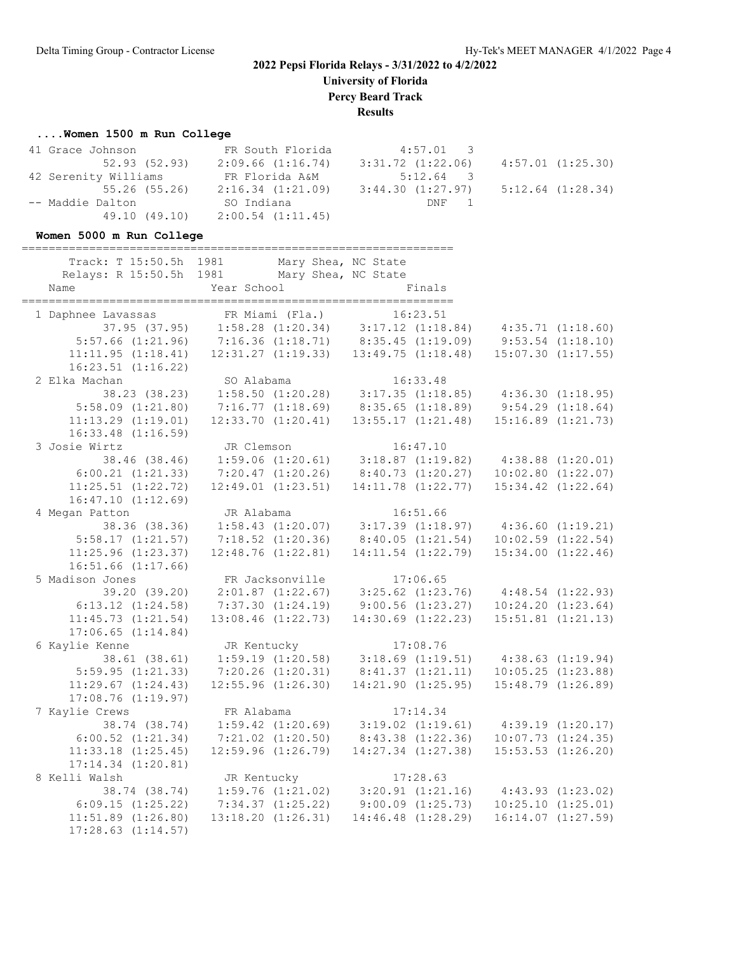**University of Florida**

**Percy Beard Track**

**Results**

#### **....Women 1500 m Run College**

| 41 Grace Johnson     | FR South Florida      | $4:57.01$ 3       |                       |
|----------------------|-----------------------|-------------------|-----------------------|
| 52.93 (52.93)        | 2:09.66(1:16.74)      | 3:31.72 (1:22.06) | $4:57.01$ $(1:25.30)$ |
| 42 Serenity Williams | FR Florida A&M        | 5:12.64 3         |                       |
| 55.26 (55.26)        | $2:16.34$ $(1:21.09)$ | 3:44.30 (1:27.97) | $5:12.64$ $(1:28.34)$ |
| -- Maddie Dalton     | SO Indiana            | DNF 1             |                       |
| 49.10 (49.10)        | $2:00.54$ $(1:11.45)$ |                   |                       |

#### **Women 5000 m Run College**

| Track: T 15:50.5h 1981  | Mary Shea, NC State                                                                                                       |                        |                                                                            |
|-------------------------|---------------------------------------------------------------------------------------------------------------------------|------------------------|----------------------------------------------------------------------------|
| Relays: R 15:50.5h 1981 | Mary Shea, NC State                                                                                                       |                        |                                                                            |
| Name                    | Year School                                                                                                               | Finals                 |                                                                            |
|                         |                                                                                                                           |                        |                                                                            |
|                         | 1 Daphnee Lavassas FR Miami (Fla.) 16:23.51<br>37.95 (37.95) 1:58.28 (1:20.34) 3:17.12 (1:18.84) 4:35.71 (1:18.60)        |                        |                                                                            |
|                         | 5:57.66 (1:21.96) 7:16.36 (1:18.71) 8:35.45 (1:19.09) 9:53.54 (1:18.10)                                                   |                        |                                                                            |
|                         | $11:11.95$ $(1:18.41)$ $12:31.27$ $(1:19.33)$ $13:49.75$ $(1:18.48)$                                                      |                        | $15:07.30$ $(1:17.55)$                                                     |
| $16:23.51$ $(1:16.22)$  |                                                                                                                           |                        |                                                                            |
| 2 Elka Machan           | SO Alabama                                                                                                                | 16:33.48               |                                                                            |
| 38.23(38.23)            |                                                                                                                           |                        |                                                                            |
| $5:58.09$ $(1:21.80)$   | 1:58.50 (1:20.28) 3:17.35 (1:18.85)<br>7:16.77 (1:18.69) 8:35.65 (1:18.89)                                                |                        | 3:17.35 (1:18.85) 4:36.30 (1:18.95)<br>8:35.65 (1:18.89) 9:54.29 (1:18.64) |
| $11:13.29$ $(1:19.01)$  | 12:33.70(1:20.41)                                                                                                         | 13:55.17(1:21.48)      | $15:16.89$ $(1:21.73)$                                                     |
| $16:33.48$ $(1:16.59)$  |                                                                                                                           |                        |                                                                            |
| 3 Josie Wirtz           | JR Clemson                                                                                                                | 16:47.10               |                                                                            |
| 38.46 (38.46)           | $1:59.06$ (1:20.61) $3:18.87$ (1:19.82) $4:38.88$ (1:20.01)                                                               |                        |                                                                            |
| $6:00.21$ $(1:21.33)$   | 7:20.47 (1:20.26) 8:40.73 (1:20.27)                                                                                       |                        | $10:02.80$ $(1:22.07)$                                                     |
| $11:25.51$ $(1:22.72)$  | 12:49.01(1:23.51)                                                                                                         | 14:11.78(1:22.77)      | 15:34.42 (1:22.64)                                                         |
| 16:47.10(1:12.69)       |                                                                                                                           |                        |                                                                            |
| 4 Megan Patton          | JR Alabama                                                                                                                | 16:51.66               |                                                                            |
| 38.36 (38.36)           |                                                                                                                           |                        |                                                                            |
| 5:58.17(1:21.57)        | $7:18.52$ (1:20.36) $8:40.05$ (1:21.54)                                                                                   |                        | $10:02.59$ $(1:22.54)$                                                     |
| $11:25.96$ $(1:23.37)$  | 12:48.76(1:22.81)                                                                                                         | $14:11.54$ $(1:22.79)$ | $15:34.00$ $(1:22.46)$                                                     |
| $16:51.66$ $(1:17.66)$  |                                                                                                                           |                        |                                                                            |
| 5 Madison Jones         | FR Jacksonville                                                                                                           | 17:06.65               |                                                                            |
| 39.20 (39.20)           | $2:01.87$ (1:22.67) $3:25.62$ (1:23.76) $4:48.54$ (1:22.93)<br>7:37.30 (1:24.19) $9:00.56$ (1:23.27) $10:24.20$ (1:23.64) |                        |                                                                            |
| $6:13.12$ $(1:24.58)$   |                                                                                                                           |                        |                                                                            |
| 11:45.73(1:21.54)       | $13:08.46$ $(1:22.73)$                                                                                                    | $14:30.69$ $(1:22.23)$ | $15:51.81$ $(1:21.13)$                                                     |
| $17:06.65$ $(1:14.84)$  |                                                                                                                           |                        |                                                                            |
| 6 Kaylie Kenne          | JR Kentucky                                                                                                               | 17:08.76               |                                                                            |
| 38.61(38.61)            |                                                                                                                           |                        | $1:59.19$ $(1:20.58)$ $3:18.69$ $(1:19.51)$ $4:38.63$ $(1:19.94)$          |
| 5:59.95(1:21.33)        | $7:20.26$ $(1:20.31)$ $8:41.37$ $(1:21.11)$                                                                               |                        | 10:05.25(1:23.88)                                                          |
| 11:29.67(1:24.43)       | 12:55.96(1:26.30)                                                                                                         | $14:21.90$ $(1:25.95)$ | $15:48.79$ $(1:26.89)$                                                     |
| $17:08.76$ $(1:19.97)$  |                                                                                                                           |                        |                                                                            |
| 7 Kaylie Crews          | FR Alabama                                                                                                                | 17:14.34               |                                                                            |
| 38.74 (38.74)           | $1:59.42$ $(1:20.69)$ $3:19.02$ $(1:19.61)$                                                                               |                        | 4:39.19(1:20.17)                                                           |
| $6:00.52$ $(1:21.34)$   | $7:21.02$ $(1:20.50)$ $8:43.38$ $(1:22.36)$                                                                               |                        | $10:07.73$ $(1:24.35)$                                                     |
| $11:33.18$ $(1:25.45)$  | $12:59.96$ $(1:26.79)$                                                                                                    | $14:27.34$ $(1:27.38)$ | 15:53.53(1:26.20)                                                          |
| $17:14.34$ $(1:20.81)$  |                                                                                                                           |                        |                                                                            |
| 8 Kelli Walsh           | JR Kentucky                                                                                                               | 17:28.63               |                                                                            |
| 38.74 (38.74)           | $1:59.76$ (1:21.02) $3:20.91$ (1:21.16) $4:43.93$ (1:23.02)                                                               |                        |                                                                            |
| 6:09.15(1:25.22)        | $7:34.37$ $(1:25.22)$                                                                                                     | 9:00.09(1:25.73)       | $10:25.10$ $(1:25.01)$                                                     |
| $11:51.89$ $(1:26.80)$  | 13:18.20(1:26.31)                                                                                                         | $14:46.48$ $(1:28.29)$ | $16:14.07$ $(1:27.59)$                                                     |
| $17:28.63$ $(1:14.57)$  |                                                                                                                           |                        |                                                                            |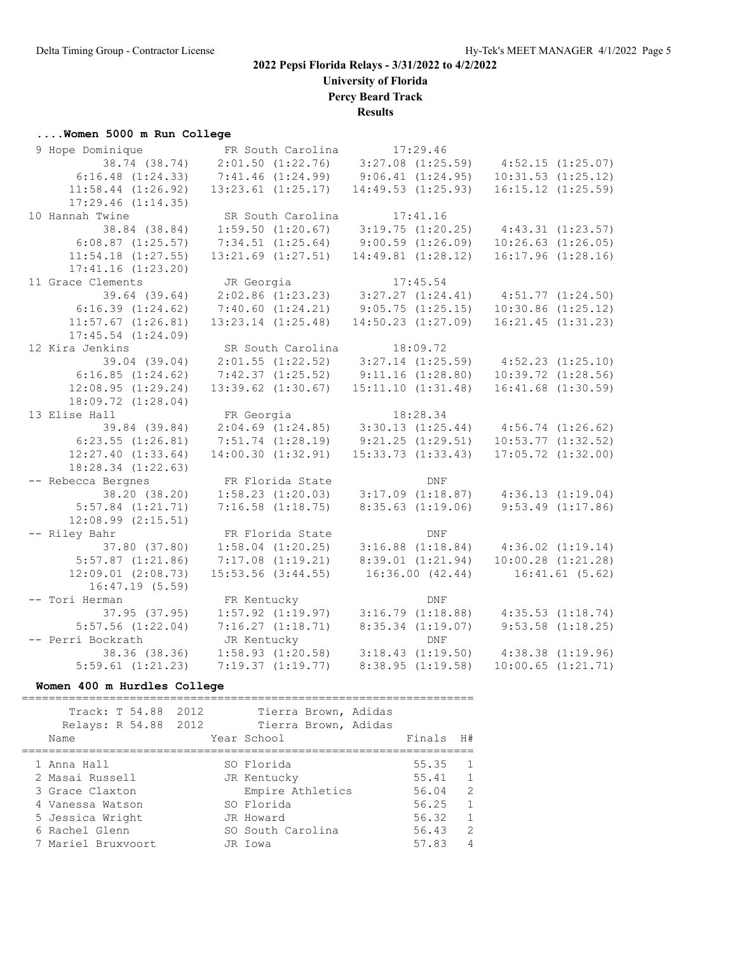**University of Florida**

**Percy Beard Track**

**Results**

#### **....Women 5000 m Run College**

| 9 Hope Dominique       | FR South Carolina      |                       | 17:29.46               |                                             |                        |
|------------------------|------------------------|-----------------------|------------------------|---------------------------------------------|------------------------|
| 38.74 (38.74)          | $2:01.50$ $(1:22.76)$  | $3:27.08$ $(1:25.59)$ |                        | 4:52.15(1:25.07)                            |                        |
| 6:16.48(1:24.33)       | $7:41.46$ $(1:24.99)$  | 9:06.41(1:24.95)      |                        |                                             | $10:31.53$ $(1:25.12)$ |
| $11:58.44$ $(1:26.92)$ | $13:23.61$ $(1:25.17)$ |                       | 14:49.53(1:25.93)      |                                             | $16:15.12$ $(1:25.59)$ |
| $17:29.46$ $(1:14.35)$ |                        |                       |                        |                                             |                        |
| 10 Hannah Twine        | SR South Carolina      |                       | 17:41.16               |                                             |                        |
| 38.84 (38.84)          | $1:59.50$ $(1:20.67)$  |                       | 3:19.75(1:20.25)       |                                             | 4:43.31(1:23.57)       |
| $6:08.87$ $(1:25.57)$  | $7:34.51$ $(1:25.64)$  |                       | 9:00.59(1:26.09)       |                                             | $10:26.63$ $(1:26.05)$ |
| $11:54.18$ $(1:27.55)$ | $13:21.69$ $(1:27.51)$ |                       | 14:49.81(1:28.12)      |                                             | $16:17.96$ $(1:28.16)$ |
| $17:41.16$ $(1:23.20)$ |                        |                       |                        |                                             |                        |
| 11 Grace Clements      | JR Georgia             |                       | 17:45.54               |                                             |                        |
| 39.64 (39.64)          | $2:02.86$ $(1:23.23)$  | 3:27.27(1:24.41)      |                        | 4:51.77(1:24.50)                            |                        |
| 6:16.39(1:24.62)       | 7:40.60(1:24.21)       |                       | 9:05.75(1:25.15)       |                                             | $10:30.86$ $(1:25.12)$ |
| $11:57.67$ $(1:26.81)$ | $13:23.14$ $(1:25.48)$ |                       | $14:50.23$ $(1:27.09)$ |                                             | $16:21.45$ $(1:31.23)$ |
| $17:45.54$ $(1:24.09)$ |                        |                       |                        |                                             |                        |
| 12 Kira Jenkins        | SR South Carolina      |                       | 18:09.72               |                                             |                        |
| 39.04 (39.04)          | $2:01.55$ $(1:22.52)$  |                       | $3:27.14$ $(1:25.59)$  | 4:52.23(1:25.10)                            |                        |
| 6:16.85(1:24.62)       | 7:42.37(1:25.52)       | 9:11.16(1:28.80)      |                        |                                             | $10:39.72$ $(1:28.56)$ |
| 12:08.95(1:29.24)      | $13:39.62$ $(1:30.67)$ |                       | 15:11.10(1:31.48)      |                                             | $16:41.68$ $(1:30.59)$ |
| 18:09.72 (1:28.04)     |                        |                       |                        |                                             |                        |
| 13 Elise Hall          | FR Georgia             |                       | 18:28.34               |                                             |                        |
| 39.84 (39.84)          | $2:04.69$ $(1:24.85)$  |                       | 3:30.13(1:25.44)       |                                             | 4:56.74(1:26.62)       |
| $6:23.55$ $(1:26.81)$  | $7:51.74$ $(1:28.19)$  |                       | 9:21.25(1:29.51)       |                                             | $10:53.77$ $(1:32.52)$ |
| $12:27.40$ $(1:33.64)$ | 14:00.30(1:32.91)      |                       | $15:33.73$ $(1:33.43)$ |                                             | $17:05.72$ $(1:32.00)$ |
| $18:28.34$ $(1:22.63)$ |                        |                       |                        |                                             |                        |
| -- Rebecca Bergnes     | FR Florida State       |                       | DNF                    |                                             |                        |
| 38.20 (38.20)          | $1:58.23$ $(1:20.03)$  |                       |                        | $3:17.09$ $(1:18.87)$ $4:36.13$ $(1:19.04)$ |                        |
| $5:57.84$ $(1:21.71)$  | $7:16.58$ $(1:18.75)$  |                       | $8:35.63$ $(1:19.06)$  |                                             | $9:53.49$ $(1:17.86)$  |
| $12:08.99$ $(2:15.51)$ |                        |                       |                        |                                             |                        |
| -- Riley Bahr          | FR Florida State       |                       | DNF                    |                                             |                        |
| 37.80 (37.80)          | $1:58.04$ $(1:20.25)$  |                       | $3:16.88$ $(1:18.84)$  |                                             | $4:36.02$ $(1:19.14)$  |
| $5:57.87$ $(1:21.86)$  | $7:17.08$ $(1:19.21)$  |                       | 8:39.01(1:21.94)       |                                             | $10:00.28$ $(1:21.28)$ |
| $12:09.01$ $(2:08.73)$ | $15:53.56$ $(3:44.55)$ |                       | 16:36.00(42.44)        |                                             | 16:41.61(5.62)         |
| 16:47.19(5.59)         |                        |                       |                        |                                             |                        |
| -- Tori Herman         | FR Kentucky            |                       | <b>DNF</b>             |                                             |                        |
| 37.95(37.95)           | $1:57.92$ $(1:19.97)$  |                       | 3:16.79(1:18.88)       |                                             | $4:35.53$ $(1:18.74)$  |
| $5:57.56$ $(1:22.04)$  | 7:16.27(1:18.71)       |                       | $8:35.34$ $(1:19.07)$  |                                             | $9:53.58$ $(1:18.25)$  |
| -- Perri Bockrath      | JR Kentucky            |                       | DNF                    |                                             |                        |
| 38.36 (38.36)          | $1:58.93$ $(1:20.58)$  |                       | $3:18.43$ $(1:19.50)$  | $4:38.38$ $(1:19.96)$                       |                        |
| $5:59.61$ $(1:21.23)$  | 7:19.37(1:19.77)       |                       | 8:38.95(1:19.58)       |                                             | $10:00.65$ $(1:21.71)$ |

#### **Women 400 m Hurdles College**

=================================================================== Track: T 54.88 2012 Tierra Brown, Adidas Relays: R 54.88 2012 Tierra Brown, Adidas Name Year School Finals H# =================================================================== 1 Anna Hall SO Florida 55.35 1 2 Masai Russell JR Kentucky 55.41 1 3 Grace Claxton Empire Athletics 56.04 2 4 Vanessa Watson SO Florida 56.25 1 5 Jessica Wright JR Howard 56.32 1 6 Rachel Glenn SO South Carolina 56.43 2 7 Mariel Bruxvoort JR Iowa 57.83 4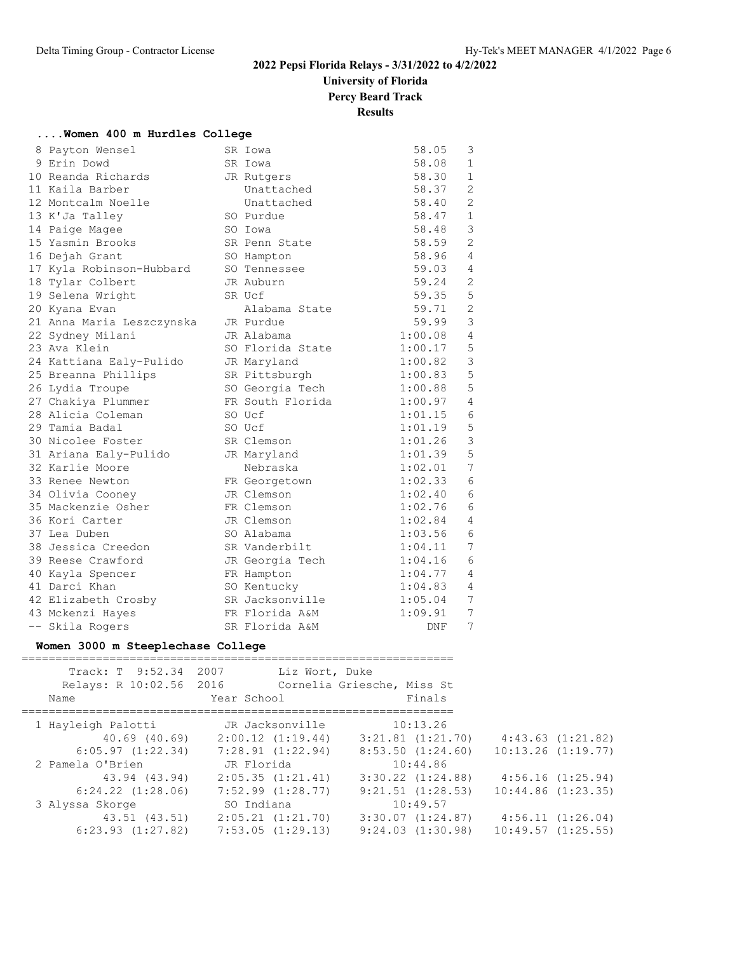**University of Florida**

**Percy Beard Track**

**Results**

|  |  |  |  | Women 400 m Hurdles College |  |
|--|--|--|--|-----------------------------|--|
|--|--|--|--|-----------------------------|--|

| 8 Payton Wensel           | SR Iowa          | 58.05   | 3              |
|---------------------------|------------------|---------|----------------|
| 9 Erin Dowd               | SR Iowa          | 58.08   | $\mathbf{1}$   |
| 10 Reanda Richards        | JR Rutgers       | 58.30   | $\mathbf{1}$   |
| 11 Kaila Barber           | Unattached       | 58.37   | $\overline{c}$ |
| 12 Montcalm Noelle        | Unattached       | 58.40   | $\overline{2}$ |
| 13 K'Ja Talley            | SO Purdue        | 58.47   | $\mathbf{1}$   |
| 14 Paige Magee            | SO Iowa          | 58.48   | $\mathsf 3$    |
| 15 Yasmin Brooks          | SR Penn State    | 58.59   | $\overline{2}$ |
| 16 Dejah Grant            | SO Hampton       | 58.96   | $\overline{4}$ |
| 17 Kyla Robinson-Hubbard  | SO Tennessee     | 59.03   | $\overline{4}$ |
| 18 Tylar Colbert          | JR Auburn        | 59.24   | $\mathbf{2}$   |
| 19 Selena Wright          | SR Ucf           | 59.35   | 5              |
| 20 Kyana Evan             | Alabama State    | 59.71   | $\overline{2}$ |
| 21 Anna Maria Leszczynska | JR Purdue        | 59.99   | 3              |
| 22 Sydney Milani          | JR Alabama       | 1:00.08 | 4              |
| 23 Ava Klein              | SO Florida State | 1:00.17 | 5              |
| 24 Kattiana Ealy-Pulido   | JR Maryland      | 1:00.82 | 3              |
| 25 Breanna Phillips       | SR Pittsburgh    | 1:00.83 | 5              |
| 26 Lydia Troupe           | SO Georgia Tech  | 1:00.88 | 5              |
| 27 Chakiya Plummer        | FR South Florida | 1:00.97 | 4              |
| 28 Alicia Coleman         | SO Ucf           | 1:01.15 | 6              |
| 29 Tamia Badal            | SO Ucf           | 1:01.19 | 5              |
| 30 Nicolee Foster         | SR Clemson       | 1:01.26 | 3              |
| 31 Ariana Ealy-Pulido     | JR Maryland      | 1:01.39 | 5              |
| 32 Karlie Moore           | Nebraska         | 1:02.01 | 7              |
| 33 Renee Newton           | FR Georgetown    | 1:02.33 | 6              |
| 34 Olivia Cooney          | JR Clemson       | 1:02.40 | 6              |
| 35 Mackenzie Osher        | FR Clemson       | 1:02.76 | 6              |
| 36 Kori Carter            | JR Clemson       | 1:02.84 | 4              |
| 37 Lea Duben              | SO Alabama       | 1:03.56 | 6              |
| 38 Jessica Creedon        | SR Vanderbilt    | 1:04.11 | 7              |
| 39 Reese Crawford         | JR Georgia Tech  | 1:04.16 | 6              |
| 40 Kayla Spencer          | FR Hampton       | 1:04.77 | 4              |
| 41 Darci Khan             | SO Kentucky      | 1:04.83 | 4              |
| 42 Elizabeth Crosby       | SR Jacksonville  | 1:05.04 | 7              |
| 43 Mckenzi Hayes          | FR Florida A&M   | 1:09.91 | 7              |
| -- Skila Rogers           | SR Florida A&M   | DNF     | 7              |

# **Women 3000 m Steeplechase College**

| Track: T 9:52.34 2007<br>Relays: R 10:02.56 2016<br>Name | Liz Wort, Duke<br>Year School | Cornelia Griesche, Miss St<br>Finals |                        |
|----------------------------------------------------------|-------------------------------|--------------------------------------|------------------------|
| 1 Hayleigh Palotti                                       | JR Jacksonville               | 10:13.26                             |                        |
| 40.69 (40.69)                                            | 2:00.12(1:19.44)              | $3:21.81$ $(1:21.70)$                | 4:43.63(1:21.82)       |
| 6:05.97(1:22.34)                                         | 7:28.91(1:22.94)              | $8:53.50$ $(1:24.60)$                | $10:13.26$ $(1:19.77)$ |
| 2 Pamela O'Brien                                         | JR Florida                    | 10:44.86                             |                        |
| 43.94 (43.94)                                            | 2:05.35(1:21.41)              | $3:30.22$ $(1:24.88)$                | 4:56.16(1:25.94)       |
| $6:24.22$ $(1:28.06)$                                    | $7:52.99$ $(1:28.77)$         | $9:21.51$ $(1:28.53)$                | $10:44.86$ $(1:23.35)$ |
| 3 Alyssa Skorge                                          | SO Indiana                    | 10:49.57                             |                        |
| 43.51 (43.51)                                            | 2:05.21(1:21.70)              | $3:30.07$ $(1:24.87)$                | 4:56.11(1:26.04)       |
| $6:23.93$ $(1:27.82)$                                    | 7:53.05(1:29.13)              | $9:24.03$ $(1:30.98)$                | $10:49.57$ $(1:25.55)$ |
|                                                          |                               |                                      |                        |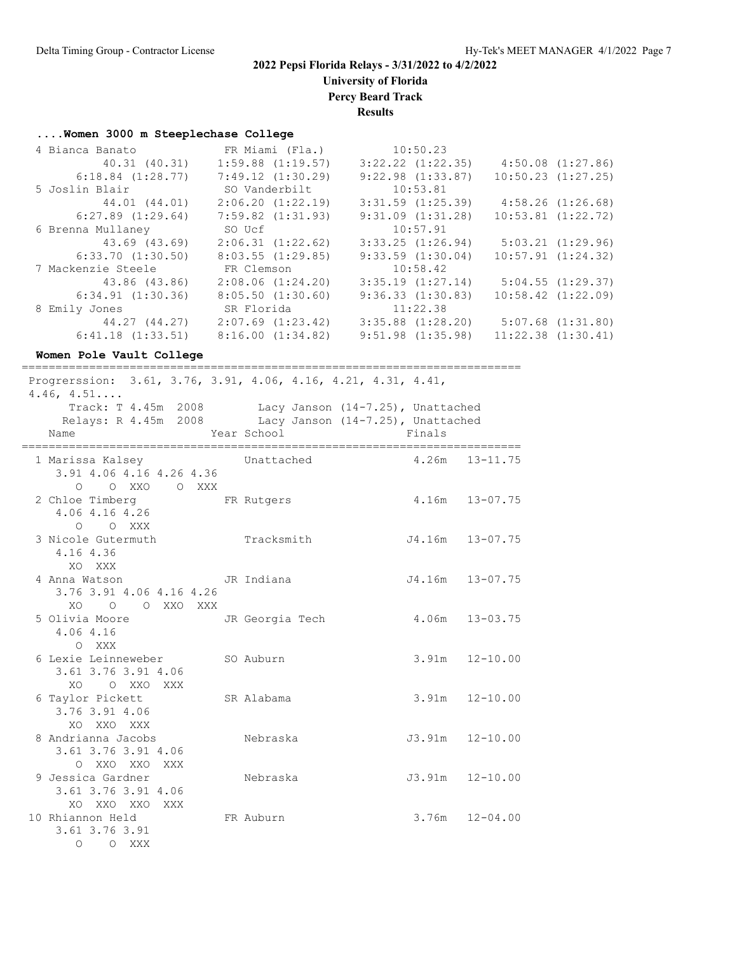**University of Florida**

**Percy Beard Track**

**Results**

#### **....Women 3000 m Steeplechase College**

| 4 Bianca Banato       | FR Miami (Fla.)       | 10:50.23              |                        |
|-----------------------|-----------------------|-----------------------|------------------------|
| 40.31 (40.31)         | $1:59.88$ $(1:19.57)$ | $3:22.22$ $(1:22.35)$ | $4:50.08$ $(1:27.86)$  |
| $6:18.84$ $(1:28.77)$ | 7:49.12(1:30.29)      | $9:22.98$ $(1:33.87)$ | $10:50.23$ $(1:27.25)$ |
| 5 Joslin Blair        | SO Vanderbilt         | 10:53.81              |                        |
| 44.01 (44.01)         | 2:06.20(1:22.19)      | $3:31.59$ $(1:25.39)$ | 4:58.26(1:26.68)       |
| $6:27.89$ $(1:29.64)$ | $7:59.82$ $(1:31.93)$ | $9:31.09$ $(1:31.28)$ | $10:53.81$ $(1:22.72)$ |
| 6 Brenna Mullaney     | SO Ucf                | 10:57.91              |                        |
| 43.69 (43.69)         | 2:06.31(1:22.62)      | $3:33.25$ $(1:26.94)$ | $5:03.21$ $(1:29.96)$  |
| 6:33.70(1:30.50)      | $8:03.55$ $(1:29.85)$ | $9:33.59$ $(1:30.04)$ | $10:57.91$ $(1:24.32)$ |
| 7 Mackenzie Steele    | FR Clemson            | 10:58.42              |                        |
| 43.86 (43.86)         | $2:08.06$ $(1:24.20)$ | $3:35.19$ $(1:27.14)$ | 5:04.55(1:29.37)       |
| 6:34.91(1:30.36)      | $8:05.50$ $(1:30.60)$ | 9:36.33(1:30.83)      | $10:58.42$ $(1:22.09)$ |
| 8 Emily Jones         | SR Florida            | 11:22.38              |                        |
| 44.27 (44.27)         | $2:07.69$ $(1:23.42)$ | $3:35.88$ $(1:28.20)$ | $5:07.68$ $(1:31.80)$  |
| 6:41.18(1:33.51)      | 8:16.00(1:34.82)      | $9:51.98$ $(1:35.98)$ | $11:22.38$ $(1:30.41)$ |

**Women Pole Vault College** ========================================================================== Progrerssion: 3.61, 3.76, 3.91, 4.06, 4.16, 4.21, 4.31, 4.41, 4.46, 4.51.... Track: T 4.45m 2008 Lacy Janson (14-7.25), Unattached Relays: R 4.45m 2008 Lacy Janson (14-7.25), Unattached Name Year School Finals ========================================================================== 1 Marissa Kalsey Unattached 4.26m 13-11.75 3.91 4.06 4.16 4.26 4.36 O O XXO O XXX 2 Chloe Timberg FR Rutgers 4.16m 13-07.75 4.06 4.16 4.26 O O XXX 3 Nicole Gutermuth Tracksmith J4.16m 13-07.75 4.16 4.36 XO XXX 4 Anna Watson JR Indiana J4.16m 13-07.75 3.76 3.91 4.06 4.16 4.26 XO O O XXO XXX 5 Olivia Moore JR Georgia Tech 4.06m 13-03.75 4.06 4.16 O XXX 6 Lexie Leinneweber SO Auburn 3.91m 12-10.00 3.61 3.76 3.91 4.06 XO O XXO XXX 6 Taylor Pickett SR Alabama 3.91m 12-10.00 3.76 3.91 4.06 XO XXO XXX 8 Andrianna Jacobs Nebraska J3.91m 12-10.00 3.61 3.76 3.91 4.06 O XXO XXO XXX 9 Jessica Gardner Nebraska J3.91m 12-10.00 3.61 3.76 3.91 4.06

 XO XXO XXO XXX 10 Rhiannon Held FR Auburn 3.76m 12-04.00

 3.61 3.76 3.91 O O XXX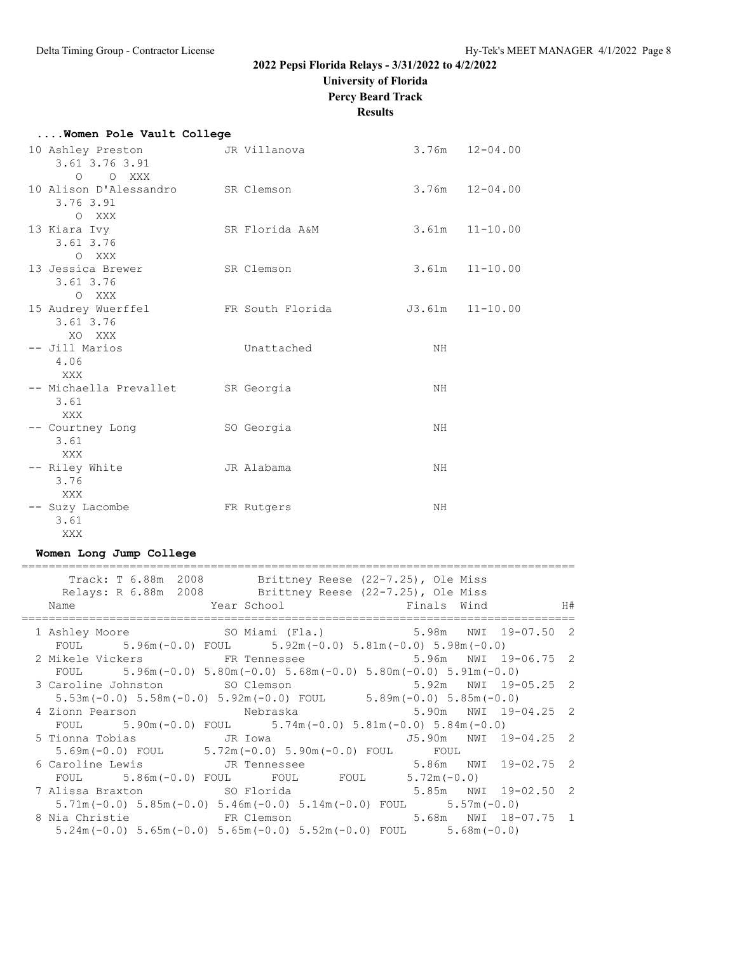**University of Florida**

**Percy Beard Track**

#### **Results**

| Women Pole Vault College                                |                  |    |                    |
|---------------------------------------------------------|------------------|----|--------------------|
| 10 Ashley Preston<br>3.61 3.76 3.91<br>O O XXX          | JR Villanova     |    | $3.76m$ $12-04.00$ |
| 10 Alison D'Alessandro SR Clemson<br>3.76 3.91<br>O XXX |                  |    | $3.76m$ $12-04.00$ |
| 13 Kiara Ivy<br>$3.61$ $3.76$<br>O XXX                  | SR Florida A&M   |    | $3.61m$ $11-10.00$ |
| 13 Jessica Brewer<br>3.61 3.76<br>O XXX                 | SR Clemson       |    | $3.61m$ $11-10.00$ |
| 15 Audrey Wuerffel<br>3.61 3.76<br>XO XXX               | FR South Florida |    | J3.61m  11-10.00   |
| -- Jill Marios<br>4.06<br>XXX                           | Unattached       | NH |                    |
| -- Michaella Prevallet SR Georgia<br>3.61<br>XXX        |                  | NH |                    |
| -- Courtney Long<br>3.61<br>XXX                         | SO Georgia       | NH |                    |
| -- Riley White<br>3.76<br>XXX                           | JR Alabama       | NH |                    |
| -- Suzy Lacombe<br>3.61<br>XXX                          | FR Rutgers       | NH |                    |

# **Women Long Jump College**

| Track: T 6.88m 2008 Brittney Reese (22-7.25), Ole Miss<br>Relays: R 6.88m 2008 Brittney Reese (22-7.25), Ole Miss<br>Name Near School Finals Wind H# |  |
|------------------------------------------------------------------------------------------------------------------------------------------------------|--|
| 1 Ashley Moore 60 SO Miami (Fla.) 5.98m NWI 19-07.50 2                                                                                               |  |
| FOUL $5.96m(-0.0)$ FOUL $5.92m(-0.0)$ $5.81m(-0.0)$ $5.98m(-0.0)$                                                                                    |  |
| 2 Mikele Vickers FR Tennessee 5.96m NWI 19-06.75 2                                                                                                   |  |
| FOUL $5.96m(-0.0) 5.80m(-0.0) 5.68m(-0.0) 5.80m(-0.0) 5.91m(-0.0)$                                                                                   |  |
|                                                                                                                                                      |  |
| 3 Caroline Johnston 5.92m SO Clemson 5.92m NWI 19-05.25 2<br>5.53m(-0.0) 5.58m(-0.0) 5.92m(-0.0) FOUL 5.89m(-0.0) 5.85m(-0.0)                        |  |
| 4 Zionn Pearson       Nebraska       5.90m NWI 19-04.25 2                                                                                            |  |
| FOUL $5.90 \text{m} (-0.0)$ FOUL $5.74 \text{m} (-0.0)$ $5.81 \text{m} (-0.0)$ $5.84 \text{m} (-0.0)$                                                |  |
| 5 Tionna Tobias               JR Iowa                       J5.90m     NWI 19-04.25   2                                                              |  |
| $5.69m(-0.0)$ FOUL $5.72m(-0.0)$ $5.90m(-0.0)$ FOUL FOUL                                                                                             |  |
| 6 Caroline Lewis TR Tennessee 5.86m NWI 19-02.75 2                                                                                                   |  |
| FOUL $5.86m(-0.0)$ FOUL FOUL FOUL $5.72m(-0.0)$                                                                                                      |  |
| 7 Alissa Braxton 5.85m NWI 19-02.50 2                                                                                                                |  |
| $5.71m(-0.0)$ $5.85m(-0.0)$ $5.46m(-0.0)$ $5.14m(-0.0)$ FOUL $5.57m(-0.0)$                                                                           |  |
| 8 Nia Christie 6 1 3 FR Clemson 5.68m NWI 18-07.75 1                                                                                                 |  |
| $5.24$ m (-0.0) $5.65$ m (-0.0) $5.65$ m (-0.0) $5.52$ m (-0.0) FOUL $5.68$ m (-0.0)                                                                 |  |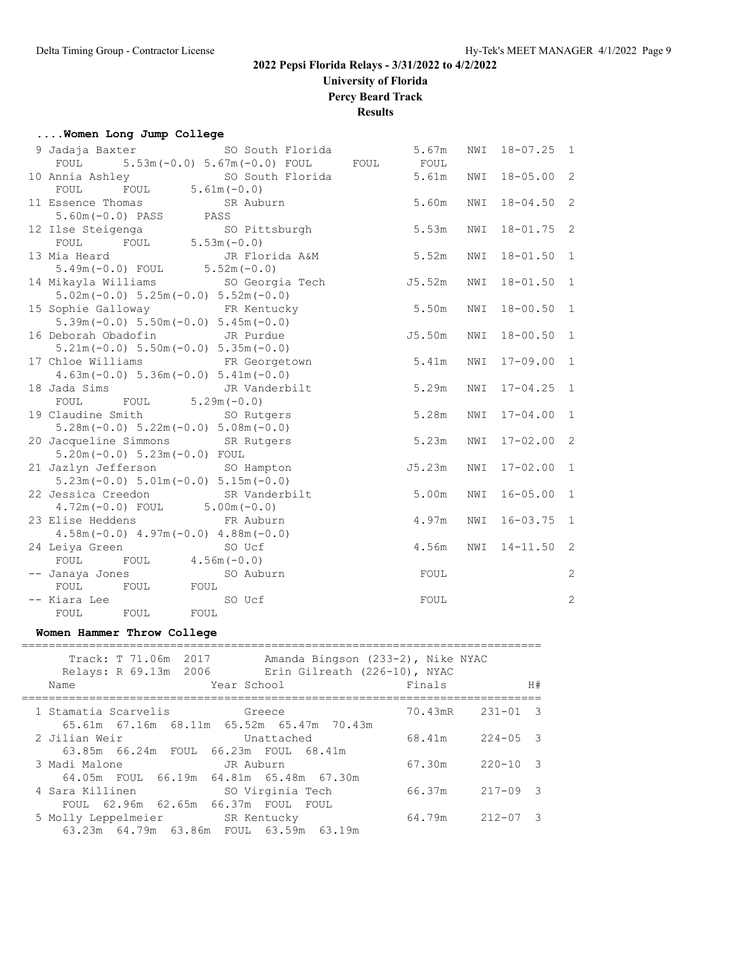**University of Florida**

**Percy Beard Track**

**Results**

#### **....Women Long Jump College**

| 9 Jadaja Baxter 60 South Florida                                        | 5.67m  | NWI | $18 - 07.25$ 1 |                |
|-------------------------------------------------------------------------|--------|-----|----------------|----------------|
| FOUL 5.53m (-0.0) 5.67m (-0.0) FOUL FOUL                                | FOUL   |     |                |                |
| 10 Annia Ashley SO South Florida 5.61m<br>FOUL FOUL 5.61m (-0.0)        |        | NWI | $18 - 05.00$ 2 |                |
|                                                                         |        |     |                |                |
| 11 Essence Thomas<br>SR Auburn                                          | 5.60m  | NWI | $18 - 04.50$ 2 |                |
| $5.60m(-0.0)$ PASS PASS                                                 |        |     |                |                |
| 5.53m<br>12 Ilse Steigenga<br>SO Pittsburgh                             |        | NWI | $18 - 01.75$ 2 |                |
| FOUL $5.53m(-0.0)$<br>FOUL                                              |        |     |                |                |
| 13 Mia Heard<br>JR Florida A&M                                          | 5.52m  | NWI | $18 - 01.50$ 1 |                |
| $5.49m(-0.0)$ FOUL $5.52m(-0.0)$                                        |        |     |                |                |
| 14 Mikayla Williams               SO Georgia Tech                       | J5.52m | NWI | $18 - 01.50$ 1 |                |
| $5.02m(-0.0) 5.25m(-0.0) 5.52m(-0.0)$                                   |        |     |                |                |
| 15 Sophie Galloway 6 FR Kentucky                                        | 5.50m  | NWI | $18 - 00.50$ 1 |                |
| $5.39m(-0.0) 5.50m(-0.0) 5.45m(-0.0)$                                   |        |     |                |                |
| 16 Deborah Obadofin JR Purdue                                           | J5.50m | NWI | $18 - 00.50$ 1 |                |
| $5.21m(-0.0) 5.50m(-0.0) 5.35m(-0.0)$                                   |        |     |                |                |
| 17 Chloe Williams FR Georgetown                                         | 5.41m  | NWI | $17 - 09.00$ 1 |                |
| $4.63m(-0.0)$ 5.36m $(-0.0)$ 5.41m $(-0.0)$                             |        |     |                |                |
| 18 Jada Sims TR Vanderbilt                                              | 5.29m  | NWI | $17 - 04.25$   | $\overline{1}$ |
| FOUL FOUL $5.29m(-0.0)$                                                 |        |     |                |                |
| 19 Claudine Smith 50 Rutgers                                            | 5.28m  | NWI | $17 - 04.00$   | $\overline{1}$ |
| $5.28m(-0.0)$ $5.22m(-0.0)$ $5.08m(-0.0)$                               |        |     |                |                |
| 20 Jacqueline Simmons SR Rutgers                                        | 5.23m  | NWI | $17 - 02.00$ 2 |                |
| $5.20m(-0.0) 5.23m(-0.0)$ FOUL                                          |        |     |                |                |
| 21 Jazlyn Jefferson SO Hampton<br>$5.23m(-0.0) 5.01m(-0.0) 5.15m(-0.0)$ | J5.23m | NWI | $17 - 02.00$ 1 |                |
| 22 Jessica Creedon SR Vanderbilt                                        | 5.00m  | NWI | $16 - 05.00$   | $\mathbf{1}$   |
| $4.72m(-0.0)$ FOUL $5.00m(-0.0)$                                        |        |     |                |                |
| 23 Elise Heddens FR Auburn                                              | 4.97m  | NWI | $16 - 03.75$   | $\mathbf{1}$   |
| $4.58m(-0.0)$ $4.97m(-0.0)$ $4.88m(-0.0)$                               |        |     |                |                |
| 24 Leiya Green SO Ucf                                                   | 4.56m  | NWI | $14 - 11.50$ 2 |                |
| FOUL FOUL $4.56m(-0.0)$                                                 |        |     |                |                |
| -- Janaya Jones<br>SO Auburn                                            | FOUL   |     |                | $\sqrt{2}$     |
| FOUL FOUL<br>FOUL                                                       |        |     |                |                |
| -- Kiara Lee<br>SO Ucf                                                  | FOUL   |     |                | $\overline{c}$ |
| FOUL<br>FOUL<br>FOUL                                                    |        |     |                |                |
|                                                                         |        |     |                |                |

#### **Women Hammer Throw College**

| Track: T 71.06m 2017<br>Amanda Bingson (233-2), Nike NYAC<br>Relays: R 69.13m 2006 Erin Gilreath (226-10), NYAC<br>Year School<br>Name | Finals |                                | H# |
|----------------------------------------------------------------------------------------------------------------------------------------|--------|--------------------------------|----|
|                                                                                                                                        |        |                                |    |
| 1 Stamatia Scarvelis 6reece                                                                                                            |        | $70.43 \text{mR}$ $231 - 01$ 3 |    |
| 65.61m 67.16m 68.11m 65.52m 65.47m 70.43m                                                                                              |        |                                |    |
| 2 Jilian Weir<br>Unattached                                                                                                            |        | 68.41m 224-05 3                |    |
| 63.85m  66.24m  FOUL  66.23m  FOUL  68.41m                                                                                             |        |                                |    |
| 3 Madi Malone<br>JR Auburn                                                                                                             |        | $67.30m$ $220-10$ 3            |    |
| 64.05m FOUL 66.19m 64.81m 65.48m 67.30m                                                                                                |        |                                |    |
| 4 Sara Killinen<br>SO Virginia Tech                                                                                                    | 66.37m | $217 - 09$ 3                   |    |
| FOUL 62.96m 62.65m 66.37m FOUL FOUL                                                                                                    |        |                                |    |
| 5 Molly Leppelmeier SR Kentucky                                                                                                        |        | 64.79m 212-07 3                |    |
| 63.23m 64.79m 63.86m FOUL 63.59m 63.19m                                                                                                |        |                                |    |
|                                                                                                                                        |        |                                |    |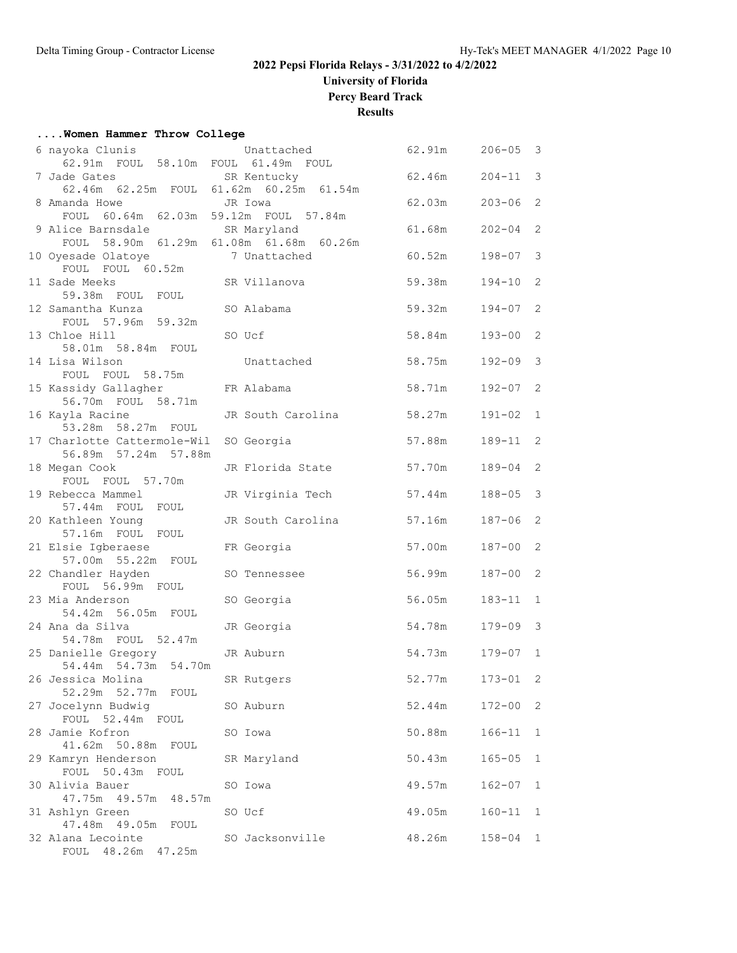**University of Florida**

**Percy Beard Track**

**Results**

#### **....Women Hammer Throw College**

| 6 nayoka Clunis                                     | Unattached                              | 62.91m | $206 - 05$   | $\overline{\mathbf{3}}$ |
|-----------------------------------------------------|-----------------------------------------|--------|--------------|-------------------------|
| 62.91m FOUL 58.10m FOUL 61.49m FOUL                 |                                         |        |              |                         |
| 7 Jade Gates                                        | SR Kentucky                             | 62.46m | $204 - 11$   | 3                       |
| 8 Amanda Howe<br>JR Iowa                            | 62.46m 62.25m FOUL 61.62m 60.25m 61.54m | 62.03m | $203 - 06$   | 2                       |
| FOUL 60.64m 62.03m 59.12m FOUL 57.84m               |                                         |        |              |                         |
| 9 Alice Barnsdale                                   | SR Maryland                             | 61.68m | $202 - 04$   | 2                       |
|                                                     | FOUL 58.90m 61.29m 61.08m 61.68m 60.26m |        |              |                         |
| 10 Oyesade Olatoye                                  | 7 Unattached                            | 60.52m | 198-07       | 3                       |
| FOUL FOUL 60.52m                                    |                                         |        |              |                         |
| 11 Sade Meeks                                       | SR Villanova                            | 59.38m | $194 - 10$ 2 |                         |
| 59.38m FOUL FOUL<br>12 Samantha Kunza               | SO Alabama                              | 59.32m | $194 - 07$ 2 |                         |
| FOUL 57.96m 59.32m                                  |                                         |        |              |                         |
| 13 Chloe Hill                                       | SO Ucf                                  | 58.84m | 193-00       | 2                       |
| 58.01m 58.84m FOUL                                  |                                         |        |              |                         |
| 14 Lisa Wilson                                      | Unattached                              | 58.75m | 192-09       | $\mathcal{S}$           |
| FOUL FOUL 58.75m                                    |                                         |        |              |                         |
| 15 Kassidy Gallagher<br>56.70m FOUL 58.71m          | FR Alabama                              | 58.71m | $192 - 07$   | 2                       |
| 16 Kayla Racine                                     | JR South Carolina                       | 58.27m | $191 - 02$ 1 |                         |
| 53.28m 58.27m FOUL                                  |                                         |        |              |                         |
| 17 Charlotte Cattermole-Wil                         | SO Georgia                              | 57.88m | 189-11 2     |                         |
| 56.89m 57.24m 57.88m                                |                                         |        |              |                         |
| 18 Megan Cook<br>FOUL FOUL 57.70m                   | JR Florida State                        | 57.70m | 189-04       | 2                       |
| 19 Rebecca Mammel                                   | JR Virginia Tech                        | 57.44m | $188 - 05$   | 3                       |
| 57.44m FOUL FOUL                                    |                                         |        |              |                         |
| 20 Kathleen Young                                   | JR South Carolina                       | 57.16m | 187-06       | 2                       |
| 57.16m FOUL FOUL                                    |                                         |        |              |                         |
| 21 Elsie Igberaese                                  | FR Georgia                              | 57.00m | 187-00       | 2                       |
| 57.00m 55.22m FOUL<br>22 Chandler Hayden            | SO Tennessee                            | 56.99m | $187 - 00$   | 2                       |
| FOUL 56.99m FOUL                                    |                                         |        |              |                         |
| 23 Mia Anderson                                     | SO Georgia                              | 56.05m | $183 - 11$ 1 |                         |
| 54.42m 56.05m FOUL                                  |                                         |        |              |                         |
| 24 Ana da Silva                                     | JR Georgia                              | 54.78m | $179 - 09$ 3 |                         |
| 54.78m FOUL 52.47m<br>25 Danielle Gregory JR Auburn |                                         | 54.73m | $179 - 07$ 1 |                         |
| 54.44m 54.73m 54.70m                                |                                         |        |              |                         |
| 26 Jessica Molina                                   | SR Rutgers                              | 52.77m | $173 - 01$   | $\overline{2}$          |
| 52.29m 52.77m FOUL                                  |                                         |        |              |                         |
| 27 Jocelynn Budwig                                  | SO Auburn                               | 52.44m | $172 - 00$ 2 |                         |
| FOUL 52.44m FOUL<br>28 Jamie Kofron                 | SO Iowa                                 | 50.88m | 166-11       | $\mathbf{1}$            |
| 41.62m 50.88m FOUL                                  |                                         |        |              |                         |
| 29 Kamryn Henderson                                 | SR Maryland                             | 50.43m | $165 - 05$   | 1                       |
| FOUL 50.43m FOUL                                    |                                         |        |              |                         |
| 30 Alivia Bauer                                     | SO Iowa                                 | 49.57m | $162 - 07$   | $\mathbf{1}$            |
| 47.75m  49.57m  48.57m                              |                                         |        |              |                         |
| 31 Ashlyn Green<br>47.48m  49.05m  FOUL             | SO Ucf                                  | 49.05m | $160 - 11$   | 1                       |
| 32 Alana Lecointe                                   | SO Jacksonville                         | 48.26m | $158 - 04$ 1 |                         |
| FOUL 48.26m 47.25m                                  |                                         |        |              |                         |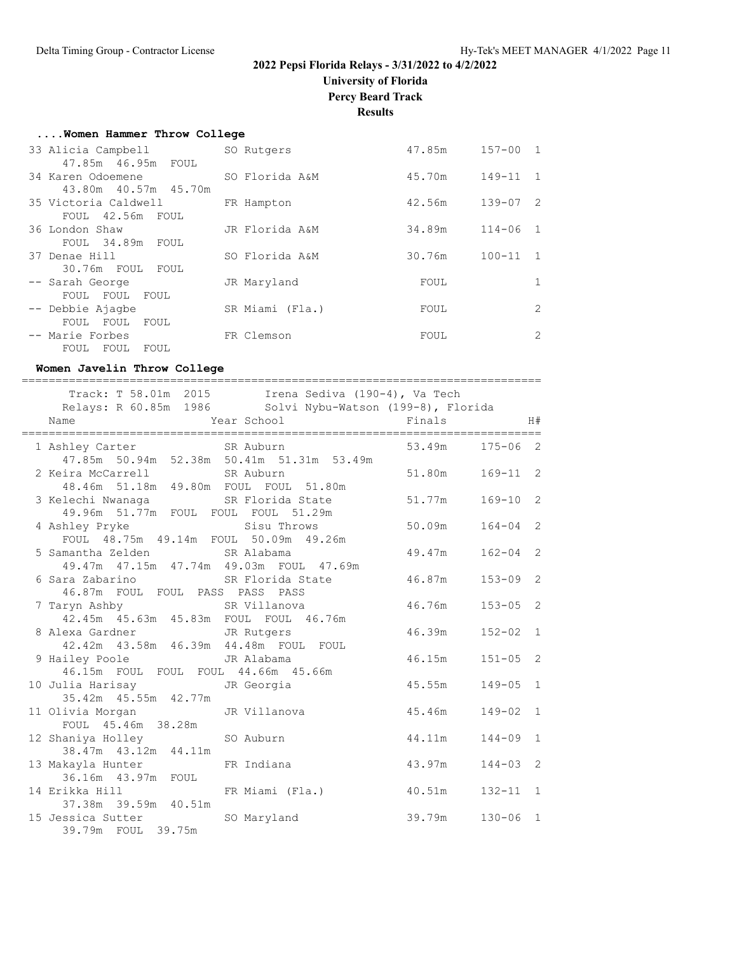**University of Florida**

**Percy Beard Track**

**Results**

|  |  |  |  | Women Hammer Throw College |
|--|--|--|--|----------------------------|
|--|--|--|--|----------------------------|

| 33 Alicia Campbell   | SO Rutgers      | 47.85m | $157 - 00$ 1 |   |
|----------------------|-----------------|--------|--------------|---|
| 47.85m  46.95m  FOUL |                 |        |              |   |
| 34 Karen Odoemene    | SO Florida A&M  | 45.70m | $149 - 11$ 1 |   |
| 43.80m 40.57m 45.70m |                 |        |              |   |
| 35 Victoria Caldwell | FR Hampton      | 42.56m | $139 - 07$ 2 |   |
| FOUL 42.56m FOUL     |                 |        |              |   |
| 36 London Shaw       | JR Florida A&M  | 34.89m | $114 - 06$ 1 |   |
| FOUL 34.89m FOUL     |                 |        |              |   |
| 37 Denae Hill        | SO Florida A&M  | 30.76m | $100 - 11$ 1 |   |
| 30.76m FOUL FOUL     |                 |        |              |   |
| -- Sarah George      | JR Maryland     | FOUL   |              |   |
| FOUL FOUL FOUL       |                 |        |              |   |
| -- Debbie Ajagbe     | SR Miami (Fla.) | FOUL   |              | 2 |
| FOUL FOUL<br>FOUL    |                 |        |              |   |
| -- Marie Forbes      | FR Clemson      | FOUL   |              | 2 |
| FOUL FOUL<br>FOUL    |                 |        |              |   |

#### **Women Javelin Throw College**

| ====================                                                                         |                                           |                 |              |
|----------------------------------------------------------------------------------------------|-------------------------------------------|-----------------|--------------|
| Name                                                                                         | Year School Finals                        |                 | H#           |
| 1 Ashley Carter SR Auburn                                                                    | 47.85m 50.94m 52.38m 50.41m 51.31m 53.49m | 53.49m          | $175 - 06$ 2 |
| 2 Keira McCarrell SR Auburn<br>48.46m 51.18m 49.80m FOUL FOUL 51.80m                         |                                           | 51.80m          | $169 - 11$ 2 |
| 3 Kelechi Nwanaga <a> SR<br/> Florida State</a> SR<br>49.96m 51.77m FOUL FOUL FOUL 51.29m    |                                           | 51.77m          | $169 - 10$ 2 |
| 4 Ashley Pryke Sisu Throws 50.09m<br>FOUL 48.75m 49.14m FOUL 50.09m 49.26m                   |                                           |                 | $164 - 04$ 2 |
| 5 Samantha Zelden SR Alabama<br>49.47m 47.15m 47.74m 49.03m FOUL 47.69m                      |                                           | 49.47m          | $162 - 04$ 2 |
| 6 Sara Zabarino <a> SR Florida State</a> SR Florida State<br>46.87m FOUL FOUL PASS PASS PASS |                                           | 46.87m 153-09 2 |              |
|                                                                                              |                                           | 46.76m          | $153 - 05$ 2 |
| 8 Alexa Gardner JR Rutgers<br>42.42m 43.58m 46.39m 44.48m FOUL FOUL                          |                                           | 46.39m          | $152 - 02$ 1 |
| 9 Hailey Poole               JR Alabama<br>46.15m FOUL FOUL FOUL 44.66m 45.66m               |                                           | 46.15m          | $151 - 05$ 2 |
| 10 Julia Harisay Manus JR Georgia<br>35.42m 45.55m 42.77m                                    |                                           | 45.55m          | $149 - 05$ 1 |
| 11 Olivia Morgan JR Villanova                                                                |                                           | 45.46m          | $149 - 02$ 1 |
| 12 Shaniya Holley<br>38.47m 43.12m 44.11m                                                    |                                           | 44.11m          | $144 - 09$ 1 |
| 13 Makayla Hunter 6 FR Indiana<br>36.16m  43.97m  FOUL                                       |                                           | 43.97m          | $144 - 03$ 2 |
|                                                                                              |                                           |                 | $132 - 11$ 1 |
| 15 Jessica Sutter SO Maryland<br>39.79m FOUL 39.75m                                          |                                           | 39.79m          | $130 - 06$ 1 |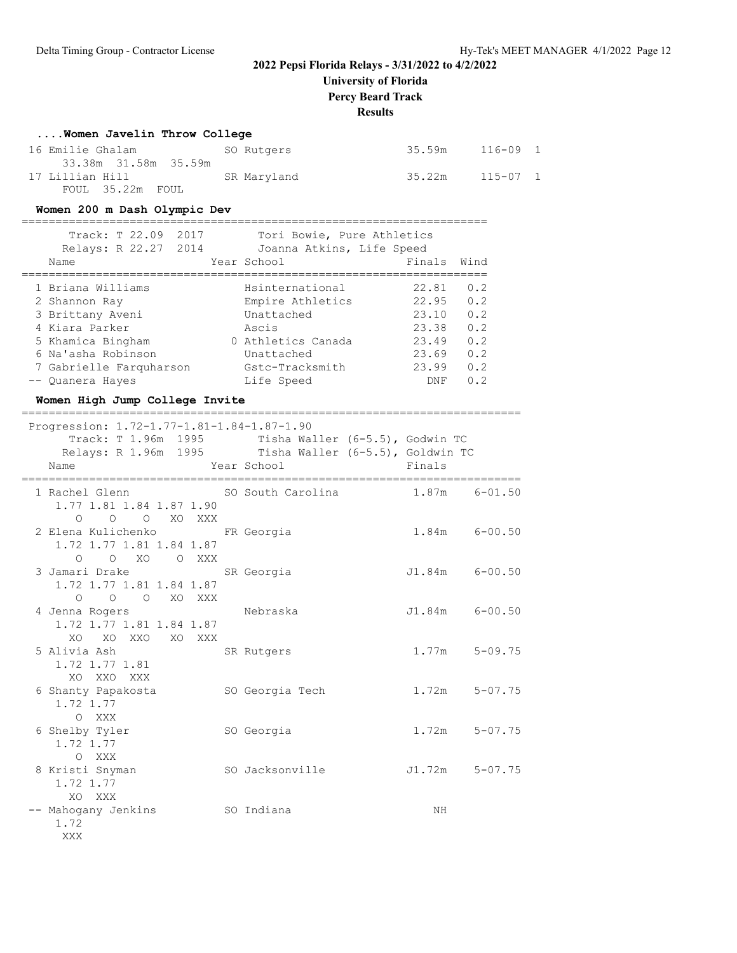**University of Florida**

**Percy Beard Track**

#### **Results**

#### **....Women Javelin Throw College**

| 16 Emilie Ghalam     | SO Rutgers  | 35.59m | 116-09 1 |
|----------------------|-------------|--------|----------|
| 33.38m 31.58m 35.59m |             |        |          |
| 17 Lillian Hill      | SR Maryland | 35.22m | 115-07 1 |
| FOUL 35.22m FOUL     |             |        |          |

#### **Women 200 m Dash Olympic Dev**

=====================================================================

| Track: T 22.09<br>2017<br>Relays: R 22.27<br>2014 | Tori Bowie, Pure Athletics<br>Joanna Atkins, Life Speed |                     |            |
|---------------------------------------------------|---------------------------------------------------------|---------------------|------------|
| Name                                              | Year School                                             | Finals              | Wind       |
| 1 Briana Williams                                 | Hsinternational                                         | 22.81<br>22.95      | 0.2<br>0.2 |
| 2 Shannon Ray<br>3 Brittany Aveni                 | Empire Athletics<br>Unattached                          | 23.10               | 0.2        |
| 4 Kiara Parker<br>5 Khamica Bingham               | Ascis<br>0 Athletics Canada                             | 23.38<br>23.49      | 0.2<br>0.2 |
| 6 Na'asha Robinson                                | Unattached                                              | 23.69               | 0.2        |
| 7 Gabrielle Farquharson<br>-- Quanera Hayes       | Gstc-Tracksmith<br>Life Speed                           | 23.99<br><b>DNF</b> | 0.2<br>0.2 |

#### **Women High Jump College Invite**

==========================================================================

| Progression: 1.72-1.77-1.81-1.84-1.87-1.90<br>Track: T 1.96m 1995 Tisha Waller (6-5.5), Godwin TC<br>Relays: R 1.96m 1995 Tisha Waller (6-5.5), Goldwin TC<br>Name | Year School     | <b>Example 5</b> Finals |  |
|--------------------------------------------------------------------------------------------------------------------------------------------------------------------|-----------------|-------------------------|--|
| 1 Rachel Glenn SO South Carolina 1.87m 6-01.50<br>1.77 1.81 1.84 1.87 1.90                                                                                         |                 |                         |  |
| O O O XO XXX<br>2 Elena Kulichenko KR Georgia<br>1.72 1.77 1.81 1.84 1.87<br>O O XO O XXX                                                                          |                 | $1.84m$ $6-00.50$       |  |
| 3 Jamari Drake<br>1.72 1.77 1.81 1.84 1.87<br>O O O XO XXX                                                                                                         | SR Georgia      | J1.84m 6-00.50          |  |
| 4 Jenna Rogers Nebraska<br>1.72 1.77 1.81 1.84 1.87<br>XO XO XXO XO XXX                                                                                            |                 | $J1.84m$ 6-00.50        |  |
| 5 Alivia Ash<br>1.72 1.77 1.81<br>XO XXO XXX                                                                                                                       | SR Rutgers      | $1.77m$ $5-09.75$       |  |
| 6 Shanty Papakosta<br>1.72 1.77<br>O XXX                                                                                                                           | SO Georgia Tech | $1.72m$ $5-07.75$       |  |
| 6 Shelby Tyler<br>1.72 1.77<br>O XXX                                                                                                                               | SO Georgia      | $1.72m$ $5-07.75$       |  |
| 8 Kristi Snyman<br>1.72 1.77<br>XO XXX                                                                                                                             | SO Jacksonville | $J1.72m$ $5-07.75$      |  |
| -- Mahogany Jenkins 50 Indiana<br>1.72<br>XXX                                                                                                                      |                 | NH                      |  |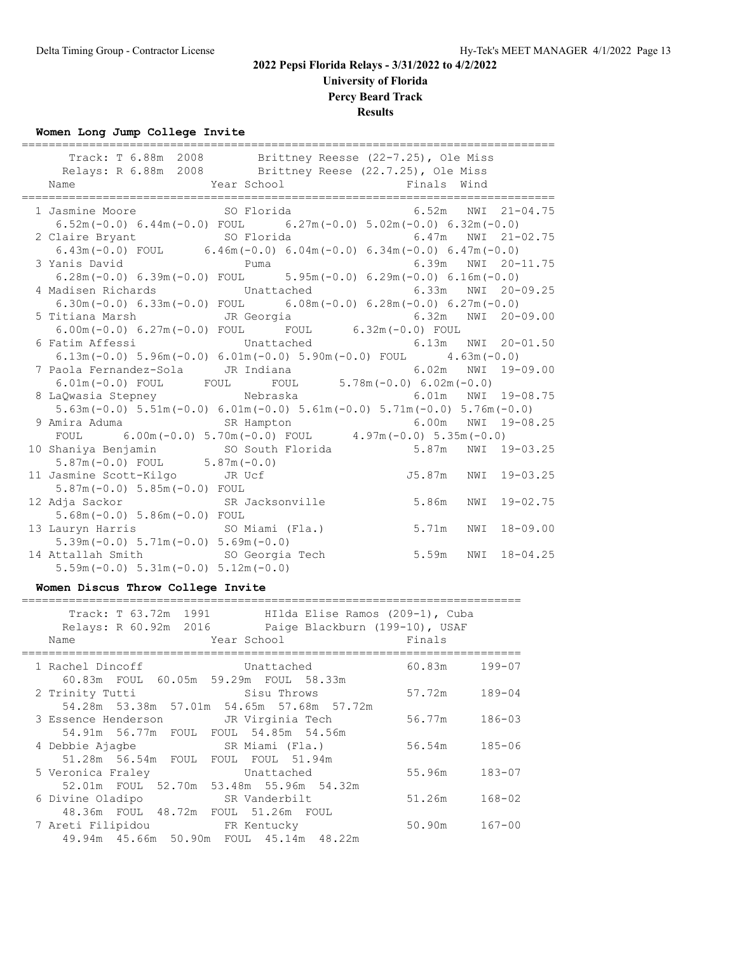# **2022 Pepsi Florida Relays - 3/31/2022 to 4/2/2022 University of Florida**

**Percy Beard Track**

# **Results**

#### **Women Long Jump College Invite**

|                                       | Track: T 6.88m 2008 Brittney Reesse (22-7.25), Ole Miss<br>Relays: R 6.88m 2008 Brittney Reese (22.7.25), Ole Miss                                             |
|---------------------------------------|----------------------------------------------------------------------------------------------------------------------------------------------------------------|
|                                       |                                                                                                                                                                |
|                                       | 1 Jasmine Moore 50 Florida 6.52m NWI 21-04.75                                                                                                                  |
|                                       | $6.52m(-0.0)$ $6.44m(-0.0)$ FOUL $6.27m(-0.0)$ $5.02m(-0.0)$ $6.32m(-0.0)$                                                                                     |
|                                       | 2 Claire Bryant 50 Florida 6.47m NWI 21-02.75                                                                                                                  |
|                                       | 6.43m (-0.0) FOUL 6.46m (-0.0) 6.04m (-0.0) 6.34m (-0.0) 6.47m (-0.0)                                                                                          |
| 3 Yanis David Puma                    | $6.39m$ NWI $20-11.75$                                                                                                                                         |
|                                       | $6.28$ m $(-0.0)$ $6.39$ m $(-0.0)$ $FOUL$ $5.95$ m $(-0.0)$ $6.29$ m $(-0.0)$ $6.16$ m $(-0.0)$                                                               |
|                                       | 4 Madisen Richards 6.33m NWI 20-09.25                                                                                                                          |
|                                       | 6.30m $(-0.0)$ 6.33m $(-0.0)$ FOUL 6.08m $(-0.0)$ 6.28m $(-0.0)$ 6.27m $(-0.0)$                                                                                |
|                                       | 5 Titiana Marsh JR Georgia 6.32m NWI 20-09.00<br>6.00m (-0.0) 6.27m (-0.0) FOUL FOUL 6.32m (-0.0) FOUL<br>6 Fatim Affessi Unattached 6.32m (-0.0) NWI 20-01.50 |
|                                       |                                                                                                                                                                |
|                                       |                                                                                                                                                                |
|                                       | $6.13\text{m}(-0.0)$ $5.96\text{m}(-0.0)$ $6.01\text{m}(-0.0)$ $5.90\text{m}(-0.0)$ $FOUL$ $4.63\text{m}(-0.0)$                                                |
|                                       |                                                                                                                                                                |
|                                       | 7 Paola Fernandez-Sola JR Indiana 6.02m NWI 19-09.00<br>6.01m(-0.0) FOUL FOUL FOUL 5.78m(-0.0) 6.02m(-0.0)                                                     |
|                                       | 8 LaQwasia Stepney Mebraska 6.01m NWI 19-08.75                                                                                                                 |
|                                       | $5.63\text{m}$ (-0.0) $5.51\text{m}$ (-0.0) $6.01\text{m}$ (-0.0) $5.61\text{m}$ (-0.0) $5.71\text{m}$ (-0.0) $5.76\text{m}$ (-0.0)                            |
|                                       |                                                                                                                                                                |
|                                       | 9 Amira Aduma<br>FOUL 6.00m (-0.0) 5.70m (-0.0) FOUL 4.97m (-0.0) 5.35m (-0.0)                                                                                 |
|                                       | 10 Shaniya Benjamin SO South Florida 5.87m NWI 19-03.25                                                                                                        |
| $5.87m(-0.0)$ FOUL $5.87m(-0.0)$      |                                                                                                                                                                |
| 11 Jasmine Scott-Kilgo JR Ucf         | J5.87m NWI 19-03.25                                                                                                                                            |
| $5.87m(-0.0) 5.85m(-0.0)$ FOUL        |                                                                                                                                                                |
| 12 Adja Sackor SR Jacksonville        | 5.86m<br>NWI 19-02.75                                                                                                                                          |
| $5.68m(-0.0) 5.86m(-0.0) F0UL$        |                                                                                                                                                                |
|                                       | 13 Lauryn Harris SO Miami (Fla.) 5.71m NWI 18-09.00                                                                                                            |
| $5.39m(-0.0) 5.71m(-0.0) 5.69m(-0.0)$ |                                                                                                                                                                |
| 14 Attallah Smith SO Georgia Tech     | 5.59m<br>NWI 18-04.25                                                                                                                                          |
| $5.59m(-0.0) 5.31m(-0.0) 5.12m(-0.0)$ |                                                                                                                                                                |

#### **Women Discus Throw College Invite**

| Track: T 63.72m 1991<br>HIlda Elise Ramos (209-1), Cuba<br>Relays: R 60.92m 2016<br>Paige Blackburn (199-10), USAF<br>Finals<br>Year School<br>Name |            |
|-----------------------------------------------------------------------------------------------------------------------------------------------------|------------|
| 60.83m<br>1 Rachel Dincoff<br>Unattached<br>60.83m FOUL 60.05m 59.29m FOUL 58.33m                                                                   | $199 - 07$ |
| 57.72m<br>2 Trinity Tutti<br>Sisu Throws<br>54.28m 53.38m 57.01m 54.65m 57.68m 57.72m                                                               | 189-04     |
| 3 Essence Henderson JR Virginia Tech<br>56.77m<br>54.91m 56.77m FOUL FOUL 54.85m 54.56m                                                             | $186 - 03$ |
| 4 Debbie Ajagbe                 SR Miami (Fla.)<br>56.54m                                                                                           | $185 - 06$ |
| 51.28m 56.54m FOUL FOUL FOUL 51.94m<br>5 Veronica Fraley<br>Unattached<br>55.96m                                                                    | $183 - 07$ |
| 52.01m FOUL 52.70m 53.48m 55.96m 54.32m<br>6 Divine Oladipo<br>SR Vanderbilt<br>51.26m                                                              | $168 - 02$ |
| 48.36m FOUL 48.72m FOUL 51.26m FOUL<br>7 Areti Filipidou KR Kentucky<br>50.90m<br>49.94m 45.66m 50.90m FOUL 45.14m 48.22m                           | $167 - 00$ |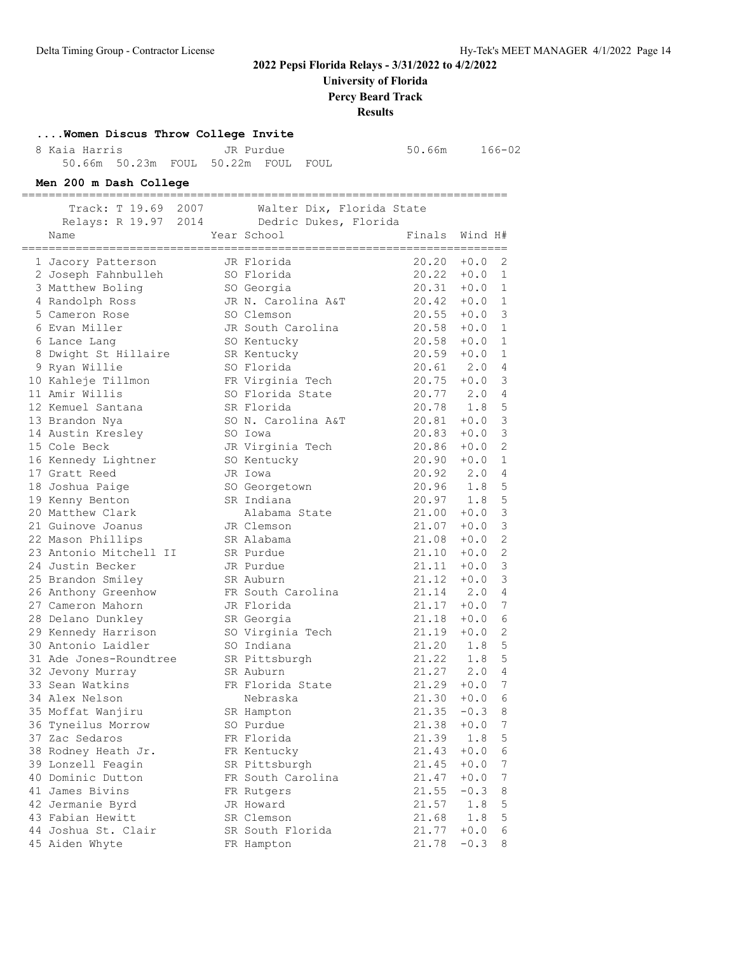# **University of Florida**

**Percy Beard Track**

**Results**

#### **....Women Discus Throw College Invite**

|  | 8 Kaia Harris |  | JR Purdue                           |  |
|--|---------------|--|-------------------------------------|--|
|  |               |  | 50.66m 50.23m FOUL 50.22m FOUL FOUL |  |

8 Kaia 166-02<br>1 Kaia 166-02<br>1 Kaia 166-02

========================================================================

**Men 200 m Dash College**

| Track: T 19.69 2007                       | Walter Dix, Florida State      |                          |               |                |
|-------------------------------------------|--------------------------------|--------------------------|---------------|----------------|
| Relays: R 19.97 2014                      | Dedric Dukes, Florida          |                          |               |                |
| Name<br>==========                        | Year School                    | Finals                   | Wind H#       |                |
| 1 Jacory Patterson                        | JR Florida                     | 20.20                    | $+0.0$        | 2              |
| 2 Joseph Fahnbulleh                       | SO Florida                     | $20.22 + 0.0$            |               | 1              |
| 3 Matthew Boling                          | SO Georgia                     | $20.31 + 0.0$            |               | 1              |
| 4 Randolph Ross                           | JR N. Carolina A&T             | $20.42 + 0.0$            |               | <sup>1</sup>   |
| 5 Cameron Rose                            | SO Clemson                     | 20.55                    | $+0.0$        | 3              |
| 6 Evan Miller                             | JR South Carolina              | 20.58                    | $+0.0$        | 1              |
| 6 Lance Lang                              | SO Kentucky                    | 20.58                    | $+0.0$        | 1              |
| 8 Dwight St Hillaire                      | SR Kentucky                    | 20.59                    | $+0.0$        | 1              |
| 9 Ryan Willie                             | SO Florida                     | 20.61                    | 2.0           | 4              |
| 10 Kahleje Tillmon                        | FR Virginia Tech               | $20.75 + 0.0$            |               | 3              |
| 11 Amir Willis                            | SO Florida State               | 20.77 2.0                |               | 4              |
| 12 Kemuel Santana                         | SR Florida                     | 20.78                    | 1.8           | 5              |
| 13 Brandon Nya                            | SO N. Carolina A&T             | $20.81 + 0.0$            |               | 3              |
| 14 Austin Kresley                         | SO Iowa                        | 20.83                    | $+0.0$        | 3              |
| 15 Cole Beck                              | JR Virginia Tech               | 20.86                    | $+0.0$        | 2              |
| 16 Kennedy Lightner                       | SO Kentucky                    | 20.90                    | $+0.0$        | 1              |
| 17 Gratt Reed                             | JR Iowa                        | $20.92$ $2.0$            |               | 4              |
| 18 Joshua Paige                           | SO Georgetown                  | $20.96$ 1.8              |               | 5              |
| 19 Kenny Benton                           | SR Indiana                     | $20.97$ 1.8              |               | 5              |
| 20 Matthew Clark                          | Alabama State                  | $21.00 + 0.0$            |               | 3              |
| 21 Guinove Joanus                         | JR Clemson                     | 21.07                    | $+0.0$        | 3              |
| 22 Mason Phillips                         | SR Alabama                     | 21.08                    | $+0.0$        | 2              |
| 23 Antonio Mitchell II                    | SR Purdue                      | 21.10                    | $+0.0$        | 2              |
| 24 Justin Becker                          | JR Purdue                      | 21.11                    | $+0.0$        | 3              |
| 25 Brandon Smiley                         | SR Auburn                      | 21.12                    | $+0.0$        | 3              |
| 26 Anthony Greenhow                       | FR South Carolina              | 21.14 2.0                |               | 4              |
| 27 Cameron Mahorn                         | JR Florida                     | 21.17<br>21.18           | $+0.0$        | 7              |
| 28 Delano Dunkley                         | SR Georgia                     | 21.19                    | $+0.0$        | 6<br>2         |
| 29 Kennedy Harrison<br>30 Antonio Laidler | SO Virginia Tech<br>SO Indiana | 21.20                    | $+0.0$<br>1.8 | 5              |
| 31 Ade Jones-Roundtree                    | SR Pittsburgh                  |                          |               | 5              |
| 32 Jevony Murray                          | SR Auburn                      | 21.22 1.8<br>$21.27$ 2.0 |               | $\overline{4}$ |
| 33 Sean Watkins                           | FR Florida State               | 21.29                    | $+0.0$        | 7              |
| 34 Alex Nelson                            | Nebraska                       | 21.30                    | $+0.0$        | 6              |
| 35 Moffat Wanjiru                         | SR Hampton                     | 21.35                    | $-0.3$        | 8              |
| 36 Tyneilus Morrow                        | SO Purdue                      | 21.38                    | $+0.0$        | 7              |
| 37 Zac Sedaros                            | FR Florida                     | 21.39 1.8 5              |               |                |
| 38 Rodney Heath Jr.                       | FR Kentucky                    | 21.43                    | $+0.0$        | 6              |
| 39 Lonzell Feagin                         | SR Pittsburgh                  | 21.45                    | $+0.0$        | 7              |
| 40 Dominic Dutton                         | FR South Carolina              | 21.47                    | $+0.0$        | 7              |
| 41 James Bivins                           | FR Rutgers                     | 21.55                    | $-0.3$        | 8              |
| 42 Jermanie Byrd                          | JR Howard                      | 21.57                    | 1.8           | 5              |
| 43 Fabian Hewitt                          | SR Clemson                     | 21.68                    | 1.8           | 5              |
| 44 Joshua St. Clair                       | SR South Florida               | 21.77                    | $+0.0$        | 6              |
| 45 Aiden Whyte                            | FR Hampton                     | 21.78                    | $-0.3$        | 8              |
|                                           |                                |                          |               |                |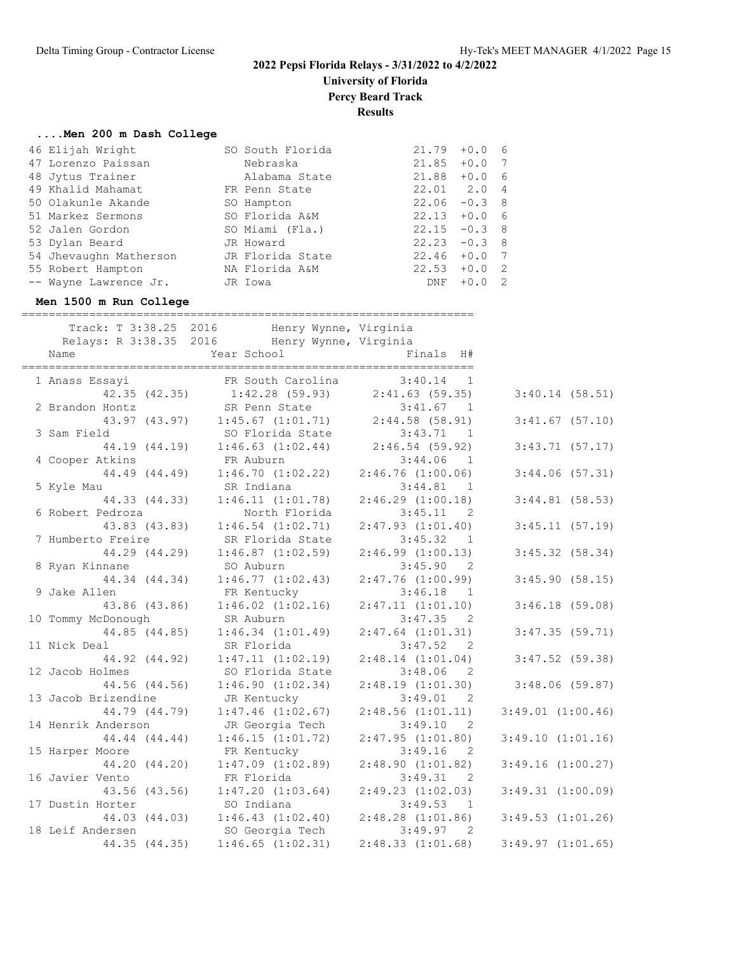**University of Florida**

**Percy Beard Track**

**Results**

===================

#### **....Men 200 m Dash College**

|  | 46 Elijah Wright       | SO South Florida | 21.79           | $+0.0$  | - 6            |
|--|------------------------|------------------|-----------------|---------|----------------|
|  | 47 Lorenzo Paissan     | Nebraska         | 21.85           | $+0.0$  | 7              |
|  | 48 Jytus Trainer       | Alabama State    | 21.88           | $+0.06$ |                |
|  | 49 Khalid Mahamat      | FR Penn State    | 22.01 2.0       |         | $\overline{4}$ |
|  | 50 Olakunle Akande     | SO Hampton       | $22.06 - 0.3$ 8 |         |                |
|  | 51 Markez Sermons      | SO Florida A&M   | $22.13 + 0.0$ 6 |         |                |
|  | 52 Jalen Gordon        | SO Miami (Fla.)  | $22.15 -0.3$ 8  |         |                |
|  | 53 Dylan Beard         | JR Howard        | $22.23 -0.3$ 8  |         |                |
|  | 54 Jhevaughn Matherson | JR Florida State | $22.46 + 0.0$   |         | 7              |
|  | 55 Robert Hampton      | NA Florida A&M   | $22.53 + 0.0$   |         | $\overline{2}$ |
|  | -- Wayne Lawrence Jr.  | JR Iowa          | DNF             | $+0.0$  | - 2            |
|  |                        |                  |                 |         |                |

#### **Men 1500 m Run College**

| Track: T 3:38.25 2016 Henry Wynne, Virginia<br>Relays: R 3:38.35 2016 Henry Wynne, Virginia<br>Name | Year School |                                                            | Finals H#                                     |                       |                   |
|-----------------------------------------------------------------------------------------------------|-------------|------------------------------------------------------------|-----------------------------------------------|-----------------------|-------------------|
| 1 Anass Essavi                                                                                      |             | FR South Carolina                                          | $3:40.14$ 1                                   |                       |                   |
| 42.35(42.35)                                                                                        |             | $1:42.28$ (59.93)                                          | $2:41.63$ (59.35)                             |                       | $3:40.14$ (58.51) |
| 2 Brandon Hontz                                                                                     |             | SR Penn State<br>$1:45.67$ $(1:01.71)$ $2:44.58$ $(58.91)$ | 3:41.67<br>$\overline{1}$                     |                       |                   |
| 43.97 (43.97)<br>3 Sam Field                                                                        |             | SO Florida State                                           | 3:43.71<br>$\overline{1}$                     |                       | $3:41.67$ (57.10) |
| 44.19 (44.19)                                                                                       |             | $1:46.63$ $(1:02.44)$                                      | 2:46.54(59.92)                                |                       | $3:43.71$ (57.17) |
| 4 Cooper Atkins                                                                                     | FR Auburn   |                                                            | $3:44.06$ 1                                   |                       |                   |
| 44.49 (44.49)                                                                                       |             | 1:46.70(1:02.22)                                           | $2:46.76$ $(1:00.06)$                         |                       | $3:44.06$ (57.31) |
| 5 Kyle Mau                                                                                          | SR Indiana  |                                                            | 3:44.81 1                                     |                       |                   |
| 44.33 (44.33)                                                                                       |             | 1:46.11(1:01.78)                                           | $2:46.29$ $(1:00.18)$                         |                       | $3:44.81$ (58.53) |
| 6 Robert Pedroza                                                                                    |             | North Florida                                              | $3:45.11$ 2                                   |                       |                   |
| 43.83 (43.83)                                                                                       |             | $1:46.54$ $(1:02.71)$                                      | $2:47.93$ $(1:01.40)$                         |                       | 3:45.11(57.19)    |
| 7 Humberto Freire                                                                                   |             | SR Florida State                                           | 3:45.32<br>$\overline{1}$                     |                       |                   |
| 44.29 (44.29)                                                                                       |             | $1:46.87$ $(1:02.59)$                                      | 2:46.99(1:00.13)                              |                       | $3:45.32$ (58.34) |
| 8 Ryan Kinnane                                                                                      | SO Auburn   |                                                            | 3:45.90<br>$\overline{2}$                     |                       |                   |
| 44.34 (44.34)                                                                                       |             | 1:46.77(1:02.43)                                           | $2:47.76$ $(1:00.99)$                         |                       | 3:45.90(58.15)    |
| 9 Jake Allen                                                                                        | FR Kentucky |                                                            | 3:46.18<br>$\overline{1}$                     |                       |                   |
| 43.86 (43.86)                                                                                       |             | $1:46.02$ $(1:02.16)$                                      | 2:47.11(1:01.10)                              |                       | $3:46.18$ (59.08) |
| 10 Tommy McDonough                                                                                  | SR Auburn   |                                                            | 3:47.35<br>2                                  |                       |                   |
| 44.85 (44.85)                                                                                       |             | 1:46.34(1:01.49)                                           | $2:47.64$ $(1:01.31)$                         |                       | 3:47.35(59.71)    |
| 11 Nick Deal                                                                                        |             | SR Florida                                                 | 3:47.52 2                                     |                       |                   |
| 44.92 (44.92)                                                                                       |             | 1:47.11(1:02.19)                                           | 2:48.14(1:01.04)                              |                       | $3:47.52$ (59.38) |
| 12 Jacob Holmes                                                                                     |             | SO Florida State                                           | $3:48.06$ 2                                   |                       |                   |
| 44.56 (44.56)                                                                                       |             | 1:46.90(1:02.34)                                           | 2:48.19(1:01.30)                              |                       | $3:48.06$ (59.87) |
| 13 Jacob Brizendine                                                                                 | JR Kentucky |                                                            | 3:49.01<br>$\overline{\phantom{0}}^2$         |                       |                   |
| 44.79 (44.79)                                                                                       |             | $1:47.46$ $(1:02.67)$                                      | $2:48.56$ $(1:01.11)$                         | $3:49.01$ $(1:00.46)$ |                   |
| 14 Henrik Anderson                                                                                  |             | JR Georgia Tech                                            | 3:49.10<br>$\overline{2}$                     |                       |                   |
| 44.44 (44.44)                                                                                       |             | 1:46.15(1:01.72)                                           | 2:47.95(1:01.80)                              | 3:49.10(1:01.16)      |                   |
| 15 Harper Moore                                                                                     |             | FR Kentucky                                                | 3:49.16<br>$\overline{2}$                     |                       |                   |
| 44.20 (44.20)<br>16 Javier Vento                                                                    | FR Florida  | $1:47.09$ $(1:02.89)$                                      | 2:48.90(1:01.82)<br>3:49.31<br>$\overline{2}$ | $3:49.16$ $(1:00.27)$ |                   |
| 43.56 (43.56)                                                                                       |             | 1:47.20(1:03.64)                                           | 2:49.23(1:02.03)                              | 3:49.31(1:00.09)      |                   |
| 17 Dustin Horter                                                                                    | SO Indiana  |                                                            | 3:49.53<br>$\overline{1}$                     |                       |                   |
| 44.03 (44.03)                                                                                       |             | 1:46.43(1:02.40)                                           | $2:48.28$ $(1:01.86)$                         | $3:49.53$ $(1:01.26)$ |                   |
| 18 Leif Andersen                                                                                    |             | SO Georgia Tech                                            | 3:49.97<br>2                                  |                       |                   |
| 44.35 (44.35)                                                                                       |             | $1:46.65$ $(1:02.31)$                                      | 2:48.33(1:01.68)                              | $3:49.97$ $(1:01.65)$ |                   |
|                                                                                                     |             |                                                            |                                               |                       |                   |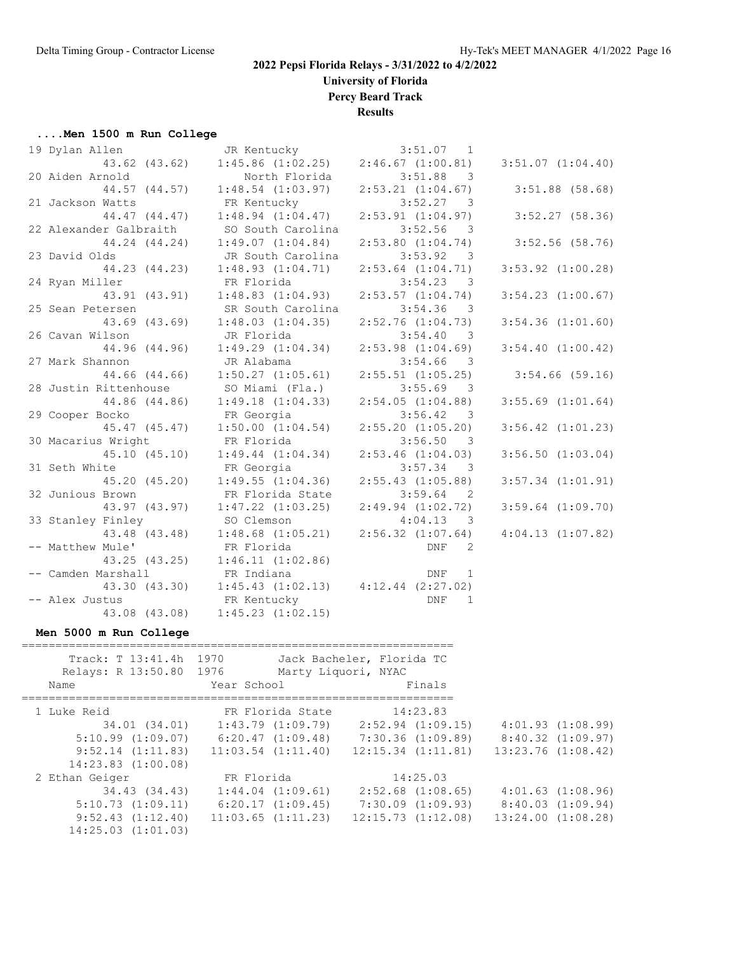**University of Florida**

**Percy Beard Track**

**Results**

#### **....Men 1500 m Run College**

| 19 Dylan Allen                        | JR Kentucky                                 | 3:51.07<br>$\overline{1}$           |                       |
|---------------------------------------|---------------------------------------------|-------------------------------------|-----------------------|
| 43.62 (43.62)                         | $1:45.86$ $(1:02.25)$                       | 2:46.67(1:00.81)                    | $3:51.07$ $(1:04.40)$ |
| 20 Aiden Arnold                       | North Florida                               | $3:51.88$ 3                         |                       |
| 44.57 (44.57)                         | $1:48.54$ $(1:03.97)$                       | $2:53.21$ $(1:04.67)$               | $3:51.88$ (58.68)     |
| 21 Jackson Watts                      | FR Kentucky                                 | $3:52.27$ 3                         |                       |
| 44.47 (44.47)                         | 1:48.94(1:04.47)                            | $2:53.91$ $(1:04.97)$               | $3:52.27$ (58.36)     |
| 22 Alexander Galbraith                | SO South Carolina                           | 3:52.56<br>$\overline{\phantom{a}}$ |                       |
|                                       | 44.24 (44.24) 1:49.07 (1:04.84)             | $2:53.80$ $(1:04.74)$               | $3:52.56$ (58.76)     |
| 23 David Olds                         | JR South Carolina                           | 3:53.92<br>$\overline{\phantom{a}}$ |                       |
| 44.23 (44.23)                         | 1:48.93(1:04.71)                            | $2:53.64$ $(1:04.71)$               | $3:53.92$ $(1:00.28)$ |
| 24 Ryan Miller                        | FR Florida                                  | $3:54.23$ 3                         |                       |
| 43.91 (43.91)                         | $1:48.83$ $(1:04.93)$                       | $2:53.57$ $(1:04.74)$               | $3:54.23$ $(1:00.67)$ |
| 25 Sean Petersen                      | SR South Carolina                           | $3:54.36$ 3                         |                       |
|                                       | 43.69 (43.69) 1:48.03 (1:04.35)             | $2:52.76$ $(1:04.73)$               | $3:54.36$ $(1:01.60)$ |
| 26 Cavan Wilson                       | JR Florida                                  | 3:54.40 3                           |                       |
| 44.96 (44.96)                         | 1:49.29(1:04.34)                            | $2:53.98$ $(1:04.69)$               | $3:54.40$ $(1:00.42)$ |
| 27 Mark Shannon                       | JR Alabama                                  | $3:54.66$ 3                         |                       |
| 44.66 (44.66)                         | $1:50.27$ $(1:05.61)$                       | $2:55.51$ $(1:05.25)$               | $3:54.66$ (59.16)     |
| 28 Justin Rittenhouse SO Miami (Fla.) |                                             | $3:55.69$ 3                         |                       |
| 44.86 (44.86)                         | 1:49.18(1:04.33)                            | 2:54.05(1:04.88)                    | $3:55.69$ $(1:01.64)$ |
| 29 Cooper Bocko                       | FR Georgia                                  | 3:56.42 3                           |                       |
| 45.47 (45.47)                         | 1:50.00(1:04.54)                            | $2:55.20$ $(1:05.20)$               | $3:56.42$ $(1:01.23)$ |
| 30 Macarius Wright                    | FR Florida                                  | $3:56.50$ 3                         |                       |
| 45.10(45.10)                          | 1:49.44(1:04.34)                            | $2:53.46$ $(1:04.03)$               | $3:56.50$ $(1:03.04)$ |
| 31 Seth White                         | FR Georgia                                  | 3:57.34 3                           |                       |
| 45.20 (45.20)                         | 1:49.55(1:04.36)                            | $2:55.43$ $(1:05.88)$               | $3:57.34$ $(1:01.91)$ |
| 32 Junious Brown                      | FR Florida State                            | 3:59.64<br>$\overline{2}$           |                       |
|                                       | 43.97 (43.97) 1:47.22 (1:03.25)             | $2:49.94$ $(1:02.72)$               | $3:59.64$ $(1:09.70)$ |
| 33 Stanley Finley                     | SO Clemson                                  | 4:04.13<br>$\overline{\phantom{a}}$ |                       |
| 43.48 (43.48)                         | $1:48.68$ $(1:05.21)$ $2:56.32$ $(1:07.64)$ |                                     | 4:04.13(1:07.82)      |
| -- Matthew Mule'                      | FR Florida                                  | <b>DNF</b><br>2                     |                       |
|                                       | 43.25 (43.25) 1:46.11 (1:02.86)             |                                     |                       |
| -- Camden Marshall                    | FR Indiana                                  | DNF 1                               |                       |
| 43.30 (43.30)                         | $1:45.43$ $(1:02.13)$ $4:12.44$ $(2:27.02)$ |                                     |                       |
| -- Alex Justus                        | FR Kentucky                                 | <b>DNF</b><br>$\mathbf{1}$          |                       |
| 43.08 (43.08)                         | $1:45.23$ $(1:02.15)$                       |                                     |                       |

# **Men 5000 m Run College**

| Track: T 13:41.4h 1970<br>Relays: R 13:50.80 1976 |                                             | Jack Bacheler, Florida TC<br>Marty Liquori, NYAC |                        |
|---------------------------------------------------|---------------------------------------------|--------------------------------------------------|------------------------|
| Name                                              | Year School                                 | Finals                                           |                        |
|                                                   |                                             |                                                  |                        |
| 1 Luke Reid                                       | FR Florida State                            | 14:23.83                                         |                        |
| 34.01 (34.01)                                     | $1:43.79$ $(1:09.79)$                       | $2:52.94$ $(1:09.15)$                            | $4:01.93$ $(1:08.99)$  |
| $5:10.99$ $(1:09.07)$                             | $6:20.47$ $(1:09.48)$ $7:30.36$ $(1:09.89)$ |                                                  | 8:40.32(1:09.97)       |
| $9:52.14$ $(1:11.83)$                             | $11:03.54$ $(1:11.40)$                      | $12:15.34$ $(1:11.81)$                           | $13:23.76$ $(1:08.42)$ |
| $14:23.83$ $(1:00.08)$                            |                                             |                                                  |                        |
| 2 Ethan Geiger                                    | FR Florida                                  | 14:25.03                                         |                        |
| 34.43 (34.43)                                     | $1:44.04$ $(1:09.61)$                       | $2:52.68$ $(1:08.65)$                            | $4:01.63$ $(1:08.96)$  |
| 5:10.73(1:09.11)                                  | $6:20.17$ $(1:09.45)$                       | $7:30.09$ $(1:09.93)$                            | 8:40.03(1:09.94)       |
| $9:52.43$ $(1:12.40)$                             | $11:03.65$ $(1:11.23)$                      | 12:15.73(1:12.08)                                | $13:24.00$ $(1:08.28)$ |
| $14:25.03$ $(1:01.03)$                            |                                             |                                                  |                        |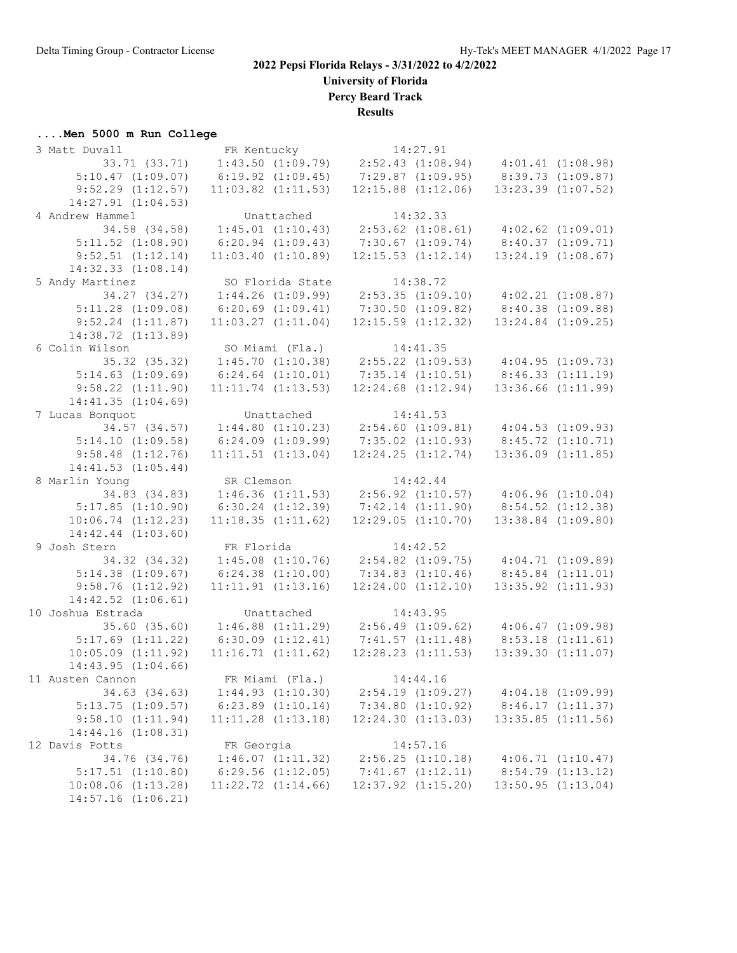**University of Florida**

**Percy Beard Track**

**Results**

# **....Men 5000 m Run College**

| 3 Matt Duvall          | FR Kentucky            | 14:27.91                                    |                                             |
|------------------------|------------------------|---------------------------------------------|---------------------------------------------|
| 33.71 (33.71)          | $1:43.50$ $(1:09.79)$  | 2:52.43(1:08.94)                            | 4:01.41(1:08.98)                            |
| $5:10.47$ $(1:09.07)$  | $6:19.92$ $(1:09.45)$  | $7:29.87$ $(1:09.95)$                       | 8:39.73(1:09.87)                            |
| $9:52.29$ $(1:12.57)$  | $11:03.82$ $(1:11.53)$ | $12:15.88$ $(1:12.06)$                      | $13:23.39$ $(1:07.52)$                      |
| 14:27.91 (1:04.53)     |                        |                                             |                                             |
| 4 Andrew Hammel        | Unattached             | 14:32.33                                    |                                             |
| 34.58 (34.58)          | 1:45.01(1:10.43)       | $2:53.62$ $(1:08.61)$ $4:02.62$ $(1:09.01)$ |                                             |
| $5:11.52$ $(1:08.90)$  | $6:20.94$ $(1:09.43)$  | 7:30.67(1:09.74)                            | 8:40.37 (1:09.71)                           |
| $9:52.51$ $(1:12.14)$  | 11:03.40(1:10.89)      | $12:15.53$ $(1:12.14)$                      | $13:24.19$ $(1:08.67)$                      |
| $14:32.33$ $(1:08.14)$ |                        |                                             |                                             |
| 5 Andy Martinez        | SO Florida State       | 14:38.72                                    |                                             |
| 34.27 (34.27)          | $1:44.26$ $(1:09.99)$  |                                             | $2:53.35$ $(1:09.10)$ $4:02.21$ $(1:08.87)$ |
| $5:11.28$ $(1:09.08)$  | $6:20.69$ $(1:09.41)$  | 7:30.50(1:09.82)                            | 8:40.38(1:09.88)                            |
| $9:52.24$ $(1:11.87)$  | $11:03.27$ $(1:11.04)$ | $12:15.59$ $(1:12.32)$                      | $13:24.84$ $(1:09.25)$                      |
| 14:38.72 (1:13.89)     |                        |                                             |                                             |
| 6 Colin Wilson         | SO Miami (Fla.)        | 14:41.35                                    |                                             |
| 35.32 (35.32)          | 1:45.70(1:10.38)       | $2:55.22$ $(1:09.53)$ $4:04.95$ $(1:09.73)$ |                                             |
| $5:14.63$ $(1:09.69)$  |                        | $7:35.14$ $(1:10.51)$                       |                                             |
|                        | $6:24.64$ $(1:10.01)$  |                                             | 8:46.33(1:11.19)<br>$13:36.66$ $(1:11.99)$  |
| $9:58.22$ $(1:11.90)$  | $11:11.74$ $(1:13.53)$ | $12:24.68$ $(1:12.94)$                      |                                             |
| 14:41.35(1:04.69)      |                        |                                             |                                             |
| 7 Lucas Bonquot        | Unattached             | 14:41.53                                    |                                             |
| 34.57 (34.57)          | 1:44.80(1:10.23)       | $2:54.60$ $(1:09.81)$                       | $4:04.53$ $(1:09.93)$                       |
| 5:14.10(1:09.58)       | 6:24.09(1:09.99)       | $7:35.02$ $(1:10.93)$                       | 8:45.72(1:10.71)                            |
| $9:58.48$ $(1:12.76)$  | $11:11.51$ $(1:13.04)$ | $12:24.25$ $(1:12.74)$                      | $13:36.09$ $(1:11.85)$                      |
| 14:41.53(1:05.44)      |                        |                                             |                                             |
| 8 Marlin Young         | SR Clemson             | 14:42.44                                    |                                             |
| 34.83 (34.83)          | $1:46.36$ $(1:11.53)$  | $2:56.92$ $(1:10.57)$                       | 4:06.96(1:10.04)                            |
| 5:17.85(1:10.90)       | $6:30.24$ $(1:12.39)$  | $7:42.14$ $(1:11.90)$                       | $8:54.52$ $(1:12.38)$                       |
| 10:06.74(1:12.23)      | 11:18.35(1:11.62)      | 12:29.05(1:10.70)                           | $13:38.84$ $(1:09.80)$                      |
| $14:42.44$ $(1:03.60)$ |                        |                                             |                                             |
| 9 Josh Stern           | FR Florida             | 14:42.52                                    |                                             |
| 34.32 (34.32)          | $1:45.08$ $(1:10.76)$  | $2:54.82$ $(1:09.75)$ $4:04.71$ $(1:09.89)$ |                                             |
| 5:14.38(1:09.67)       | $6:24.38$ $(1:10.00)$  | $7:34.83$ $(1:10.46)$                       | 8:45.84(1:11.01)                            |
| 9:58.76(1:12.92)       | $11:11.91$ $(1:13.16)$ | $12:24.00$ $(1:12.10)$                      | $13:35.92$ $(1:11.93)$                      |
| $14:42.52$ $(1:06.61)$ |                        |                                             |                                             |
| 10 Joshua Estrada      | Unattached             | 14:43.95                                    |                                             |
| 35.60(35.60)           | $1:46.88$ $(1:11.29)$  | 2:56.49(1:09.62)                            | 4:06.47(1:09.98)                            |
| $5:17.69$ $(1:11.22)$  | 6:30.09(1:12.41)       | 7:41.57(1:11.48)                            | 8:53.18(1:11.61)                            |
| $10:05.09$ $(1:11.92)$ | 11:16.71(1:11.62)      | $12:28.23$ $(1:11.53)$                      | 13:39.30(1:11.07)                           |
| 14:43.95(1:04.66)      |                        |                                             |                                             |
| 11 Austen Cannon       | FR Miami (Fla.)        | 14:44.16                                    |                                             |
| 34.63 (34.63)          | 1:44.93(1:10.30)       | $2:54.19$ $(1:09.27)$                       | $4:04.18$ $(1:09.99)$                       |
| $5:13.75$ $(1:09.57)$  | $6:23.89$ $(1:10.14)$  | $7:34.80$ $(1:10.92)$                       | 8:46.17(1:11.37)                            |
| 9:58.10(1:11.94)       | $11:11.28$ $(1:13.18)$ | 12:24.30(1:13.03)                           | $13:35.85$ $(1:11.56)$                      |
| 14:44.16(1:08.31)      |                        |                                             |                                             |
| 12 Davis Potts         | FR Georgia             | 14:57.16                                    |                                             |
| 34.76 (34.76)          | $1:46.07$ $(1:11.32)$  | $2:56.25$ $(1:10.18)$                       | 4:06.71(1:10.47)                            |
| $5:17.51$ $(1:10.80)$  | $6:29.56$ $(1:12.05)$  | $7:41.67$ $(1:12.11)$                       | 8:54.79(1:13.12)                            |
| $10:08.06$ $(1:13.28)$ | $11:22.72$ $(1:14.66)$ | $12:37.92$ $(1:15.20)$                      | $13:50.95$ $(1:13.04)$                      |
| 14:57.16 (1:06.21)     |                        |                                             |                                             |
|                        |                        |                                             |                                             |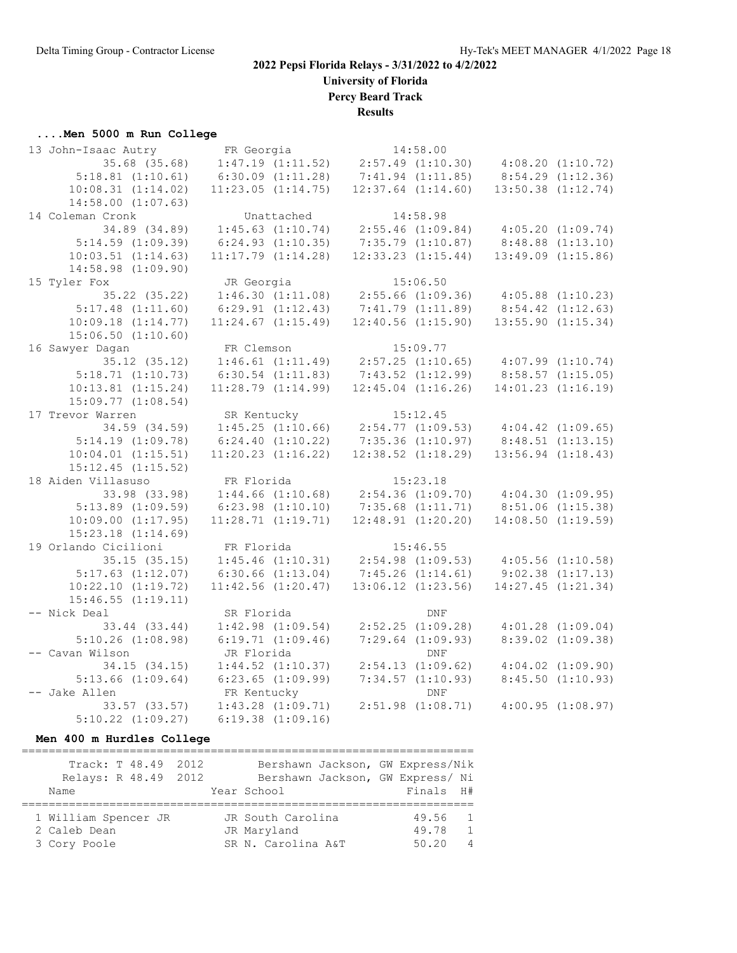**University of Florida**

**Percy Beard Track**

**Results**

#### **....Men 5000 m Run College**

| 13 John-Isaac Autry    | FR Georgia             | 14:58.00               |                        |                       |
|------------------------|------------------------|------------------------|------------------------|-----------------------|
| 35.68 (35.68)          | 1:47.19(1:11.52)       | $2:57.49$ $(1:10.30)$  | 4:08.20(1:10.72)       |                       |
| $5:18.81$ $(1:10.61)$  | $6:30.09$ $(1:11.28)$  | $7:41.94$ $(1:11.85)$  |                        | $8:54.29$ $(1:12.36)$ |
| 10:08.31(1:14.02)      | 11:23.05(1:14.75)      | $12:37.64$ $(1:14.60)$ | $13:50.38$ $(1:12.74)$ |                       |
| $14:58.00$ $(1:07.63)$ |                        |                        |                        |                       |
| 14 Coleman Cronk       | Unattached             | 14:58.98               |                        |                       |
| 34.89 (34.89)          | $1:45.63$ $(1:10.74)$  | $2:55.46$ $(1:09.84)$  | 4:05.20(1:09.74)       |                       |
| $5:14.59$ $(1:09.39)$  | $6:24.93$ $(1:10.35)$  | $7:35.79$ $(1:10.87)$  | $8:48.88$ $(1:13.10)$  |                       |
| $10:03.51$ $(1:14.63)$ | $11:17.79$ $(1:14.28)$ | $12:33.23$ $(1:15.44)$ | $13:49.09$ $(1:15.86)$ |                       |
| $14:58.98$ $(1:09.90)$ |                        |                        |                        |                       |
| 15 Tyler Fox           | JR Georgia             | 15:06.50               |                        |                       |
| 35.22 (35.22)          | 1:46.30(1:11.08)       | $2:55.66$ $(1:09.36)$  | $4:05.88$ $(1:10.23)$  |                       |
| $5:17.48$ $(1:11.60)$  | $6:29.91$ $(1:12.43)$  | 7:41.79(1:11.89)       | 8:54.42(1:12.63)       |                       |
| 10:09.18(1:14.77)      | $11:24.67$ $(1:15.49)$ | $12:40.56$ $(1:15.90)$ | $13:55.90$ $(1:15.34)$ |                       |
| $15:06.50$ $(1:10.60)$ |                        |                        |                        |                       |
| 16 Sawyer Dagan        | FR Clemson             | 15:09.77               |                        |                       |
| $35.12$ $(35.12)$      | 1:46.61(1:11.49)       | $2:57.25$ $(1:10.65)$  | $4:07.99$ $(1:10.74)$  |                       |
| 5:18.71(1:10.73)       | $6:30.54$ $(1:11.83)$  | $7:43.52$ $(1:12.99)$  | 8:58.57(1:15.05)       |                       |
| $10:13.81$ $(1:15.24)$ | $11:28.79$ $(1:14.99)$ | $12:45.04$ $(1:16.26)$ | $14:01.23$ $(1:16.19)$ |                       |
| $15:09.77$ $(1:08.54)$ |                        |                        |                        |                       |
| 17 Trevor Warren       | SR Kentucky            | 15:12.45               |                        |                       |
| 34.59 (34.59)          | 1:45.25(1:10.66)       | 2:54.77(1:09.53)       | $4:04.42$ $(1:09.65)$  |                       |
| $5:14.19$ $(1:09.78)$  | 6:24.40(1:10.22)       | 7:35.36(1:10.97)       | 8:48.51(1:13.15)       |                       |
| $10:04.01$ $(1:15.51)$ | $11:20.23$ $(1:16.22)$ | $12:38.52$ $(1:18.29)$ | $13:56.94$ $(1:18.43)$ |                       |
| $15:12.45$ $(1:15.52)$ |                        |                        |                        |                       |
| 18 Aiden Villasuso     | FR Florida             | 15:23.18               |                        |                       |
| 33.98 (33.98)          | $1:44.66$ $(1:10.68)$  | $2:54.36$ $(1:09.70)$  | 4:04.30(1:09.95)       |                       |
| $5:13.89$ $(1:09.59)$  | $6:23.98$ $(1:10.10)$  | $7:35.68$ $(1:11.71)$  | $8:51.06$ $(1:15.38)$  |                       |
| $10:09.00$ $(1:17.95)$ | 11:28.71(1:19.71)      | $12:48.91$ $(1:20.20)$ | $14:08.50$ $(1:19.59)$ |                       |
| $15:23.18$ $(1:14.69)$ |                        |                        |                        |                       |
| 19 Orlando Cicilioni   | FR Florida             | 15:46.55               |                        |                       |
| 35.15(35.15)           | $1:45.46$ $(1:10.31)$  | $2:54.98$ $(1:09.53)$  | $4:05.56$ $(1:10.58)$  |                       |
| $5:17.63$ $(1:12.07)$  | $6:30.66$ $(1:13.04)$  | 7:45.26(1:14.61)       |                        | $9:02.38$ $(1:17.13)$ |
| $10:22.10$ $(1:19.72)$ | $11:42.56$ $(1:20.47)$ | $13:06.12$ $(1:23.56)$ | 14:27.45(1:21.34)      |                       |
| 15:46.55(1:19.11)      |                        |                        |                        |                       |
| -- Nick Deal           | SR Florida             | DNF                    |                        |                       |
| 33.44 (33.44)          | $1:42.98$ $(1:09.54)$  | $2:52.25$ $(1:09.28)$  |                        | $4:01.28$ $(1:09.04)$ |
| $5:10.26$ $(1:08.98)$  | $6:19.71$ $(1:09.46)$  | $7:29.64$ $(1:09.93)$  |                        | $8:39.02$ $(1:09.38)$ |
| -- Cavan Wilson        | JR Florida             | <b>DNF</b>             |                        |                       |
| 34.15(34.15)           | $1:44.52$ $(1:10.37)$  | $2:54.13$ $(1:09.62)$  |                        | $4:04.02$ $(1:09.90)$ |
| $5:13.66$ $(1:09.64)$  | $6:23.65$ $(1:09.99)$  | $7:34.57$ $(1:10.93)$  |                        | $8:45.50$ $(1:10.93)$ |
| -- Jake Allen          | FR Kentucky            | <b>DNF</b>             |                        |                       |
| $33.57$ $(33.57)$      | $1:43.28$ $(1:09.71)$  | $2:51.98$ $(1:08.71)$  |                        | 4:00.95(1:08.97)      |
| $5:10.22$ $(1:09.27)$  | $6:19.38$ $(1:09.16)$  |                        |                        |                       |

**Men 400 m Hurdles College**

| Track: T 48.49 2012  |  |                    | Bershawn Jackson, GW Express/Nik |           |                |
|----------------------|--|--------------------|----------------------------------|-----------|----------------|
| Relays: R 48.49 2012 |  |                    | Bershawn Jackson, GW Express/ Ni |           |                |
| Name                 |  | Year School        |                                  | Finals H# |                |
|                      |  |                    |                                  |           |                |
| 1 William Spencer JR |  | JR South Carolina  |                                  | 49.56     | $\overline{1}$ |
| 2 Caleb Dean         |  | JR Maryland        |                                  | 49.78     | $\overline{1}$ |
| 3 Cory Poole         |  | SR N. Carolina A&T |                                  | 50.20     | $\overline{4}$ |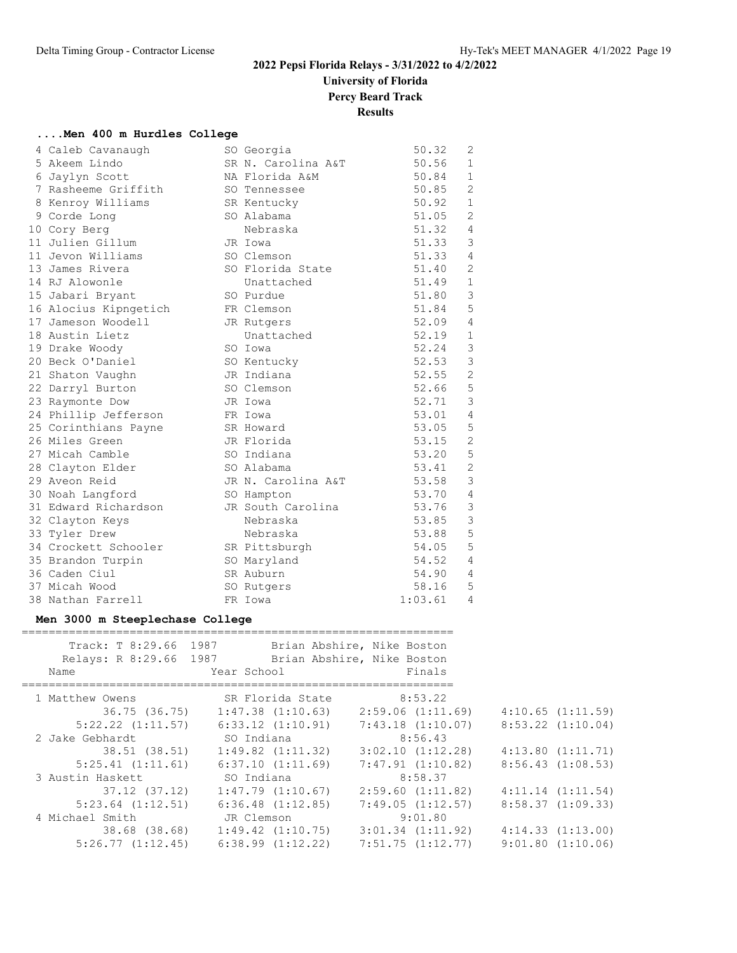# **University of Florida**

**Percy Beard Track**

**Results**

#### **....Men 400 m Hurdles College**

| 4 Caleb Cavanaugh     | SO Georgia         | 50.32   | 2              |
|-----------------------|--------------------|---------|----------------|
| 5 Akeem Lindo         | SR N. Carolina A&T | 50.56   | $\mathbf 1$    |
| 6 Jaylyn Scott        | NA Florida A&M     | 50.84   | $\mathbf{1}$   |
| 7 Rasheeme Griffith   | SO Tennessee       | 50.85   | 2              |
| 8 Kenroy Williams     | SR Kentucky        | 50.92   | $\mathbf{1}$   |
| 9 Corde Long          | SO Alabama         | 51.05   | 2              |
| 10 Cory Berg          | Nebraska           | 51.32   | 4              |
| 11 Julien Gillum      | JR Iowa            | 51.33   | $\mathcal{E}$  |
| 11 Jevon Williams     | SO Clemson         | 51.33   | 4              |
| 13 James Rivera       | SO Florida State   | 51.40   | $\overline{2}$ |
| 14 RJ Alowonle        | Unattached         | 51.49   | $\mathbf{1}$   |
| 15 Jabari Bryant      | SO Purdue          | 51.80   | 3              |
| 16 Alocius Kipngetich | FR Clemson         | 51.84   | 5              |
| 17 Jameson Woodell    | JR Rutgers         | 52.09   | 4              |
| 18 Austin Lietz       | Unattached         | 52.19   | $\mathbf{1}$   |
| 19 Drake Woody        | SO Iowa            | 52.24   | 3              |
| 20 Beck O'Daniel      | SO Kentucky        | 52.53   | $\mathfrak{Z}$ |
| 21 Shaton Vaughn      | JR Indiana         | 52.55   | $\mathbf{2}$   |
| 22 Darryl Burton      | SO Clemson         | 52.66   | $\mathsf S$    |
| 23 Raymonte Dow       | JR Iowa            | 52.71   | $\mathfrak{Z}$ |
| 24 Phillip Jefferson  | FR Iowa            | 53.01   | $\overline{4}$ |
| 25 Corinthians Payne  | SR Howard          | 53.05   | $\mathsf S$    |
| 26 Miles Green        | JR Florida         | 53.15   | $\mathbf{2}$   |
| 27 Micah Camble       | SO Indiana         | 53.20   | 5              |
| 28 Clayton Elder      | SO Alabama         | 53.41   | $\mathbf{2}$   |
| 29 Aveon Reid         | JR N. Carolina A&T | 53.58   | 3              |
| 30 Noah Langford      | SO Hampton         | 53.70   | $\overline{4}$ |
| 31 Edward Richardson  | JR South Carolina  | 53.76   | $\mathsf 3$    |
| 32 Clayton Keys       | Nebraska           | 53.85   | 3              |
| 33 Tyler Drew         | Nebraska           | 53.88   | 5              |
| 34 Crockett Schooler  | SR Pittsburgh      | 54.05   | 5              |
| 35 Brandon Turpin     | SO Maryland        | 54.52   | 4              |
| 36 Caden Ciul         | SR Auburn          | 54.90   | 4              |
| 37 Micah Wood         | SO Rutgers         | 58.16   | 5              |
| 38 Nathan Farrell     | FR Iowa            | 1:03.61 | $\overline{4}$ |

#### **Men 3000 m Steeplechase College**

| Track: T 8:29.66 1987<br>Name | Relays: R 8:29.66 1987 Brian Abshire, Nike Boston<br>Year School | Brian Abshire, Nike Boston<br>Finals |                       |
|-------------------------------|------------------------------------------------------------------|--------------------------------------|-----------------------|
|                               |                                                                  |                                      |                       |
| 1 Matthew Owens               | SR Florida State                                                 | 8:53.22                              |                       |
| 36.75 (36.75)                 | $1:47.38$ $(1:10.63)$                                            | 2:59.06(1:11.69)                     | 4:10.65(1:11.59)      |
| $5:22.22$ $(1:11.57)$         | 6:33.12(1:10.91)                                                 | $7:43.18$ $(1:10.07)$                | $8:53.22$ $(1:10.04)$ |
| 2 Jake Gebhardt               | SO Indiana                                                       | 8:56.43                              |                       |
| 38.51 (38.51)                 | $1:49.82$ $(1:11.32)$                                            | $3:02.10$ $(1:12.28)$                | 4:13.80(1:11.71)      |
| 5:25.41(1:11.61)              | 6:37.10(1:11.69)                                                 | 7:47.91(1:10.82)                     | 8:56.43(1:08.53)      |
| 3 Austin Haskett              | SO Indiana                                                       | 8:58.37                              |                       |
| $37.12$ $(37.12)$             | $1:47.79$ $(1:10.67)$                                            | $2:59.60$ $(1:11.82)$                | $4:11.14$ $(1:11.54)$ |
| $5:23.64$ $(1:12.51)$         | $6:36.48$ $(1:12.85)$                                            | 7:49.05(1:12.57)                     | 8:58.37(1:09.33)      |
| 4 Michael Smith               | JR Clemson                                                       | 9:01.80                              |                       |
|                               | 38.68 (38.68) 1:49.42 (1:10.75)                                  | $3:01.34$ $(1:11.92)$                | 4:14.33(1:13.00)      |
| 5:26.77(1:12.45)              | $6:38.99$ $(1:12.22)$                                            | $7:51.75$ $(1:12.77)$                | $9:01.80$ $(1:10.06)$ |
|                               |                                                                  |                                      |                       |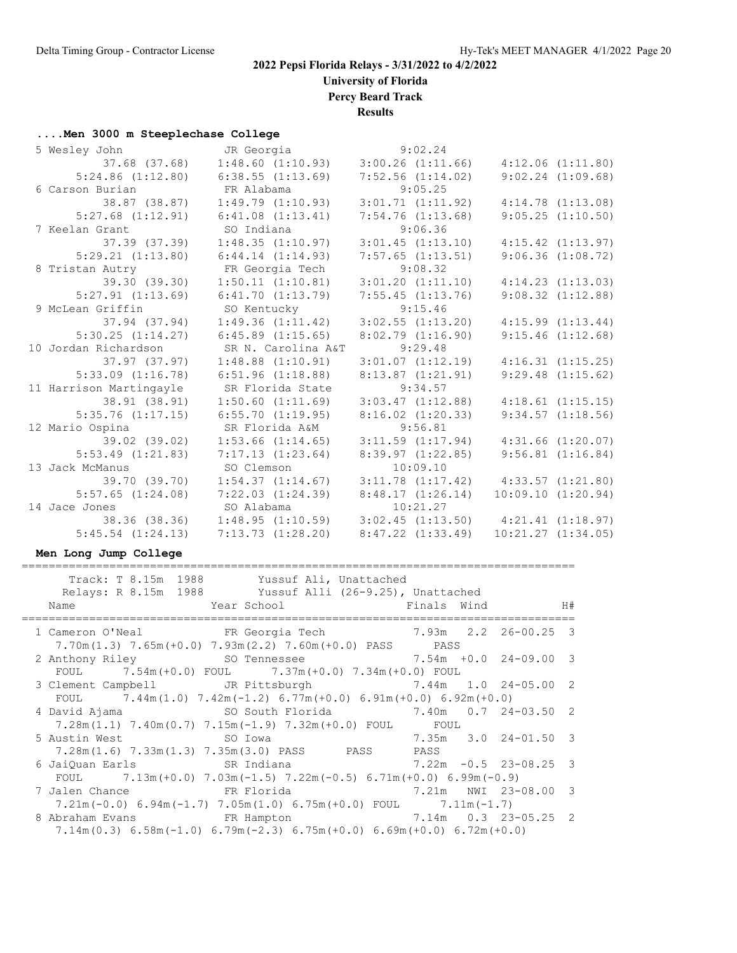**University of Florida**

**Percy Beard Track**

**Results**

# **....Men 3000 m Steeplechase College**<br>5 Mesley John J.R. Georgi

| 5 Wesley John           | JR Georgia 3:02.24                          |                       |                                             |
|-------------------------|---------------------------------------------|-----------------------|---------------------------------------------|
|                         | 37.68 (37.68)  1:48.60 (1:10.93)            | $3:00.26$ $(1:11.66)$ | $4:12.06$ $(1:11.80)$                       |
|                         | $5:24.86$ $(1:12.80)$ $6:38.55$ $(1:13.69)$ | $7:52.56$ $(1:14.02)$ | $9:02.24$ $(1:09.68)$                       |
| 6 Carson Burian         | FR Alabama                                  | 9:05.25               |                                             |
| 38.87 (38.87)           | 1:49.79(1:10.93)                            | 3:01.71(1:11.92)      | $4:14.78$ $(1:13.08)$                       |
|                         | $5:27.68$ $(1:12.91)$ $6:41.08$ $(1:13.41)$ | $7:54.76$ $(1:13.68)$ | 9:05.25(1:10.50)                            |
| 7 Keelan Grant          | SO Indiana                                  | 9:06.36               |                                             |
| 37.39 (37.39)           | 1:48.35(1:10.97)                            | $3:01.45$ $(1:13.10)$ | $4:15.42$ $(1:13.97)$                       |
| 5:29.21(1:13.80)        | 6:44.14(1:14.93)                            | $7:57.65$ $(1:13.51)$ | 9:06.36(1:08.72)                            |
| 8 Tristan Autry         | FR Georgia Tech                             | 9:08.32               |                                             |
| 39.30 (39.30)           | 1:50.11(1:10.81)                            | $3:01.20$ $(1:11.10)$ | 4:14.23(1:13.03)                            |
| $5:27.91$ $(1:13.69)$   | 6:41.70(1:13.79)                            | $7:55.45$ $(1:13.76)$ | $9:08.32$ $(1:12.88)$                       |
| 9 McLean Griffin        | SO Kentucky                                 | 9:15.46               |                                             |
| 37.94 (37.94)           | 1:49.36(1:11.42)                            | $3:02.55$ $(1:13.20)$ | 4:15.99(1:13.44)                            |
| 5:30.25(1:14.27)        | $6:45.89$ $(1:15.65)$                       | 8:02.79(1:16.90)      | 9:15.46(1:12.68)                            |
| 10 Jordan Richardson    | SR N. Carolina A&T                          | 9:29.48               |                                             |
| 37.97 (37.97)           | $1:48.88$ $(1:10.91)$                       | 3:01.07(1:12.19)      | 4:16.31(1:15.25)                            |
| $5:33.09$ $(1:16.78)$   | 6:51.96(1:18.88)                            | 8:13.87(1:21.91)      | $9:29.48$ $(1:15.62)$                       |
| 11 Harrison Martingayle | SR Florida State                            | 9:34.57               |                                             |
| 38.91 (38.91)           | $1:50.60$ $(1:11.69)$                       | $3:03.47$ $(1:12.88)$ | $4:18.61$ $(1:15.15)$                       |
| $5:35.76$ $(1:17.15)$   | $6:55.70$ $(1:19.95)$                       | $8:16.02$ $(1:20.33)$ | $9:34.57$ $(1:18.56)$                       |
| 12 Mario Ospina         | SR Florida A&M                              | 9:56.81               |                                             |
| 39.02 (39.02)           | $1:53.66$ $(1:14.65)$                       | $3:11.59$ $(1:17.94)$ | $4:31.66$ $(1:20.07)$                       |
| $5:53.49$ $(1:21.83)$   | 7:17.13(1:23.64)                            | $8:39.97$ $(1:22.85)$ | $9:56.81$ $(1:16.84)$                       |
| 13 Jack McManus         | SO Clemson                                  | 10:09.10              |                                             |
| 39.70 (39.70)           | $1:54.37$ $(1:14.67)$                       |                       | $3:11.78$ $(1:17.42)$ $4:33.57$ $(1:21.80)$ |
| $5:57.65$ $(1:24.08)$   | 7:22.03(1:24.39)                            | 8:48.17(1:26.14)      | 10:09.10(1:20.94)                           |
| 14 Jace Jones           | SO Alabama                                  | 10:21.27              |                                             |
|                         | 38.36 (38.36) 1:48.95 (1:10.59)             |                       | $3:02.45$ $(1:13.50)$ $4:21.41$ $(1:18.97)$ |
| $5:45.54$ $(1:24.13)$   | 7:13.73(1:28.20)                            | 8:47.22(1:33.49)      | $10:21.27$ $(1:34.05)$                      |
|                         |                                             |                       |                                             |

#### **Men Long Jump College**

==================================================================================

| Track: T 8.15m 1988 Yussuf Ali, Unattached                                                                                                                                           |  |  |
|--------------------------------------------------------------------------------------------------------------------------------------------------------------------------------------|--|--|
| Relays: R 8.15m 1988 Yussuf Alli (26-9.25), Unattached                                                                                                                               |  |  |
| Year School National School (Finals Wind H#<br>Name                                                                                                                                  |  |  |
| 1 Cameron O'Neal FR Georgia Tech 7.93m 2.2 26-00.25 3<br>$7.70m(1.3)$ $7.65m(+0.0)$ $7.93m(2.2)$ $7.60m(+0.0)$ PASS PASS                                                             |  |  |
| 2 Anthony Riley 50 Tennessee 7.54m +0.0 24-09.00 3<br>FOUL 7.54m (+0.0) FOUL 7.37m (+0.0) 7.34m (+0.0) FOUL                                                                          |  |  |
| 3 Clement Campbell JR Pittsburgh 5 7.44m 1.0 24-05.00 2                                                                                                                              |  |  |
| FOUL 7.44m(1.0) 7.42m(-1.2) 6.77m(+0.0) 6.91m(+0.0) 6.92m(+0.0)<br>4 David Ajama                       SO South Florida               7.40m   0.7   24-03.50   2                     |  |  |
| $7.28m(1.1)$ $7.40m(0.7)$ $7.15m(-1.9)$ $7.32m(+0.0)$ FOUL FOUL<br>$7.35m$ $3.0$ $24-01.50$ 3<br>5 Austin West 50 Iowa                                                               |  |  |
| 7.28m(1.6) 7.33m(1.3) 7.35m(3.0) PASS PASS PASS<br>6 JaiQuan Earls               SR Indiana                       7.22m -0.5 23-08.25 3                                              |  |  |
| FOUL $7.13m (+0.0)$ $7.03m (-1.5)$ $7.22m (-0.5)$ 6.71m $(+0.0)$ 6.99m $(-0.9)$<br>7 Jalen Chance 5 1 21 FR Florida 5 2.21 NWI 23-08.00 3                                            |  |  |
| $7.21m(-0.0)$ 6.94m(-1.7) 7.05m(1.0) 6.75m(+0.0) FOUL 7.11m(-1.7)                                                                                                                    |  |  |
| 8 Abraham Evans               FR Hampton                   7.14m   0.3   23-05.25   2<br>$7.14$ m $(0.3)$ 6.58m $(-1.0)$ 6.79m $(-2.3)$ 6.75m $(+0.0)$ 6.69m $(+0.0)$ 6.72m $(+0.0)$ |  |  |
|                                                                                                                                                                                      |  |  |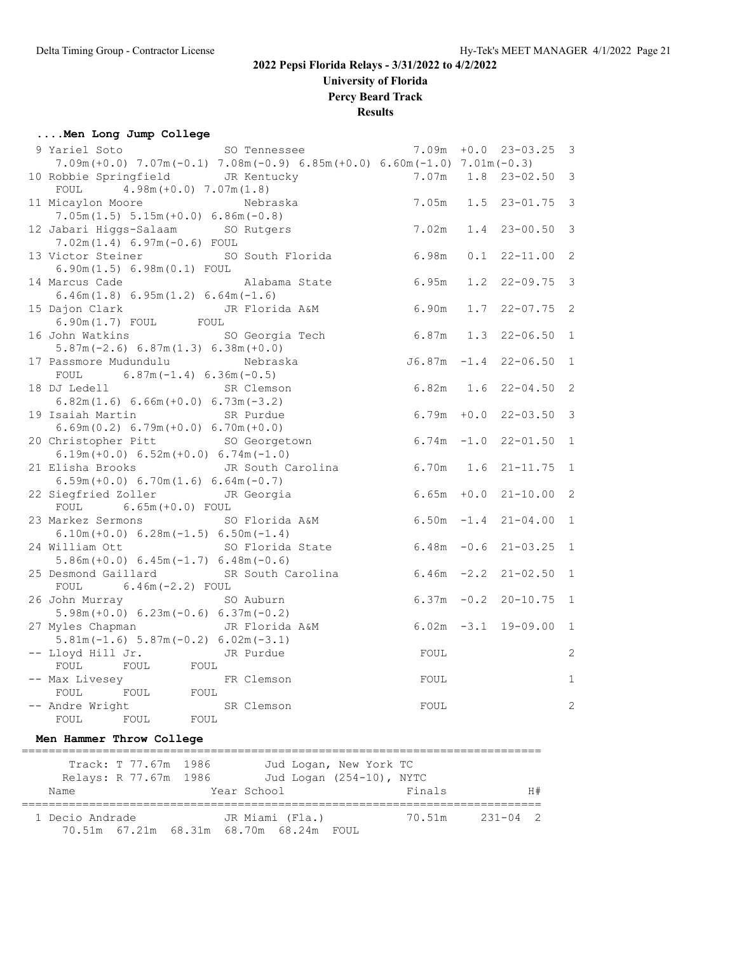**University of Florida**

**Percy Beard Track**

**Results**

#### **....Men Long Jump College**

| 9 Yariel Soto SO Tennessee                                                                |                      |     | $7.09m + 0.0$ 23-03.25    | $\overline{\mathbf{3}}$    |
|-------------------------------------------------------------------------------------------|----------------------|-----|---------------------------|----------------------------|
| $7.09m (+0.0)$ $7.07m (-0.1)$ $7.08m (-0.9)$ $6.85m (+0.0)$ $6.60m (-1.0)$ $7.01m (-0.3)$ |                      |     |                           |                            |
| 10 Robbie Springfield JR Kentucky                                                         | $7.07m$ 1.8          |     | $23 - 02.50$              | $\overline{3}$             |
| FOUL $4.98m (+0.0) 7.07m (1.8)$                                                           |                      |     |                           |                            |
| 11 Micaylon Moore<br>Nebraska                                                             | 7.05m                |     | $1.5$ 23-01.75 3          |                            |
| $7.05m(1.5) 5.15m(+0.0) 6.86m(-0.8)$                                                      |                      |     |                           |                            |
| 12 Jabari Higgs-Salaam SO Rutgers                                                         | 7.02m                |     | $1.4$ 23-00.50 3          |                            |
| $7.02m(1.4) 6.97m(-0.6) F0UL$                                                             |                      |     |                           |                            |
| 13 Victor Steiner SO South Florida                                                        | 6.98m                | 0.1 | 22-11.00                  | $\overline{\phantom{0}}^2$ |
| 6.90m(1.5) 6.98m(0.1) F0UL                                                                |                      |     |                           |                            |
| 14 Marcus Cade<br>Alabama State                                                           | 6.95m                |     | $1.2$ $22-09.75$ 3        |                            |
| $6.46m(1.8) 6.95m(1.2) 6.64m(-1.6)$                                                       |                      |     |                           |                            |
| 15 Dajon Clark JR Florida A&M                                                             | 6.90m                |     | $1.7$ $22-07.75$ 2        |                            |
| $6.90m(1.7)$ FOUL FOUL                                                                    |                      |     |                           |                            |
| 16 John Watkins<br>SO Georgia Tech                                                        | 6.87m                |     | $1.3$ $22-06.50$          | $\overline{1}$             |
| $5.87m(-2.6) 6.87m(1.3) 6.38m(+0.0)$                                                      |                      |     |                           |                            |
| 17 Passmore Mudundulu<br>Nebraska                                                         |                      |     | $J6.87m -1.4 22-06.50$    | $\overline{1}$             |
| FOUL $6.87m(-1.4) 6.36m(-0.5)$                                                            |                      |     |                           |                            |
| 18 DJ Ledell<br>SR Clemson                                                                | 6.82m 1.6 22-04.50 2 |     |                           |                            |
| $6.82m(1.6) 6.66m(+0.0) 6.73m(-3.2)$                                                      |                      |     |                           |                            |
| 19 Isaiah Martin<br>SR Purdue                                                             |                      |     | $6.79m + 0.0$ 22-03.50 3  |                            |
| $6.69m(0.2) 6.79m(+0.0) 6.70m(+0.0)$                                                      | $6.74m - 1.0$        |     |                           | $\overline{1}$             |
| 20 Christopher Pitt SO Georgetown<br>$6.19m (+0.0) 6.52m (+0.0) 6.74m (-1.0)$             |                      |     | $22 - 01.50$              |                            |
| JR South Carolina<br>21 Elisha Brooks                                                     | 6.70m                |     | $1.6$ $21-11.75$ 1        |                            |
| $6.59m (+0.0) 6.70m (1.6) 6.64m (-0.7)$                                                   |                      |     |                           |                            |
| 22 Siegfried Zoller JR Georgia                                                            |                      |     | $6.65m + 0.0$ 21-10.00 2  |                            |
| FOUL 6.65m (+0.0) FOUL                                                                    |                      |     |                           |                            |
| 23 Markez Sermons SO Florida A&M                                                          |                      |     | $6.50m -1.4$ 21-04.00     | $\mathbf{1}$               |
| $6.10m (+0.0) 6.28m (-1.5) 6.50m (-1.4)$                                                  |                      |     |                           |                            |
| 24 William Ott<br>SO Florida State                                                        |                      |     | $6.48m - 0.6$ 21-03.25 1  |                            |
| $5.86m (+0.0) 6.45m (-1.7) 6.48m (-0.6)$                                                  |                      |     |                           |                            |
| 25 Desmond Gaillard<br>SR South Carolina                                                  |                      |     | $6.46m -2.2$ $21-02.50$ 1 |                            |
| FOUL $6.46m(-2.2)$ FOUL                                                                   |                      |     |                           |                            |
| 26 John Murray<br>SO Auburn                                                               |                      |     | $6.37m - 0.2$ 20-10.75 1  |                            |
| $5.98m (+0.0) 6.23m (-0.6) 6.37m (-0.2)$                                                  |                      |     |                           |                            |
| 27 Myles Chapman Man JR Florida A&M                                                       |                      |     | $6.02m -3.1$ 19-09.00 1   |                            |
| $5.81m(-1.6) 5.87m(-0.2) 6.02m(-3.1)$                                                     |                      |     |                           |                            |
| -- Lloyd Hill Jr.<br>JR Purdue                                                            | FOUL                 |     |                           | $\mathbf{2}$               |
| FOUL<br>FOUL FOUL                                                                         |                      |     |                           |                            |
| -- Max Livesey<br>FR Clemson                                                              | FOUL                 |     |                           | $\mathbf{1}$               |
| FOUL FOUL FOUL                                                                            |                      |     |                           |                            |
| -- Andre Wright<br>SR Clemson<br>FOUL                                                     | FOUL                 |     |                           | $\overline{c}$             |
| FOUL FOUL                                                                                 |                      |     |                           |                            |
|                                                                                           |                      |     |                           |                            |

#### **Men Hammer Throw College**

| Track: T 77.67m 1986<br>Relays: R 77.67m 1986<br>Name |                                    | Jud Logan, New York TC<br>Jud Logan (254-10), NYTC<br>Year School |       | Finals | H#           |
|-------------------------------------------------------|------------------------------------|-------------------------------------------------------------------|-------|--------|--------------|
| 1 Decio Andrade                                       | 70.51m 67.21m 68.31m 68.70m 68.24m | JR Miami (Fla.)                                                   | FOUL. | 70.51m | $231 - 04$ 2 |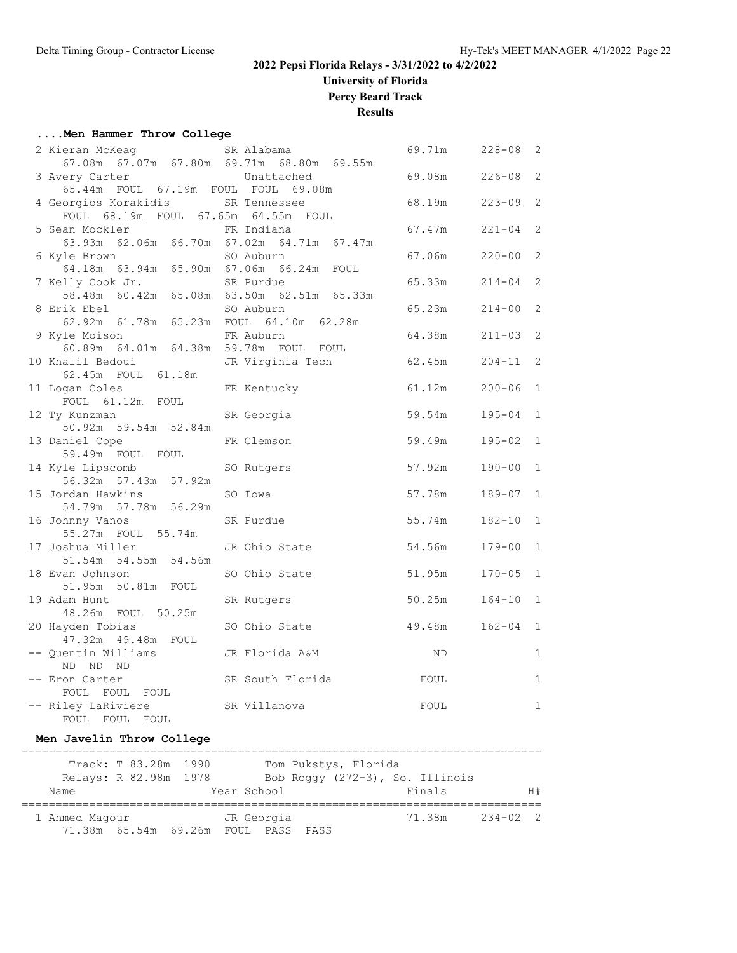**University of Florida**

**Percy Beard Track**

**Results**

#### **....Men Hammer Throw College**

| 2 Kieran McKeag                                              | SR Alabama                                     | 69.71m | $228 - 08$ | 2              |
|--------------------------------------------------------------|------------------------------------------------|--------|------------|----------------|
|                                                              | 67.08m  67.07m  67.80m  69.71m  68.80m  69.55m |        |            |                |
| 3 Avery Carter                                               | Unattached                                     | 69.08m | $226 - 08$ | 2              |
| 65.44m FOUL 67.19m FOUL FOUL 69.08m                          |                                                |        |            |                |
| 4 Georgios Korakidis                                         | SR Tennessee                                   | 68.19m | $223 - 09$ | 2              |
| FOUL 68.19m FOUL 67.65m 64.55m FOUL                          |                                                |        |            |                |
| 5 Sean Mockler                                               | FR Indiana                                     | 67.47m | $221 - 04$ | $\overline{2}$ |
|                                                              | 63.93m 62.06m 66.70m 67.02m 64.71m 67.47m      |        |            |                |
| 6 Kyle Brown<br>64.18m  63.94m  65.90m  67.06m  66.24m  FOUL | SO Auburn                                      | 67.06m | $220 - 00$ | 2              |
|                                                              |                                                |        |            |                |
| 7 Kelly Cook Jr.                                             | SR Purdue                                      | 65.33m | $214 - 04$ | 2              |
|                                                              | 58.48m 60.42m 65.08m 63.50m 62.51m 65.33m      |        |            |                |
| 8 Erik Ebel<br>62.92m 61.78m 65.23m FOUL 64.10m 62.28m       | SO Auburn                                      | 65.23m | $214 - 00$ | 2              |
|                                                              |                                                |        |            |                |
| 9 Kyle Moison<br>60.89m  64.01m  64.38m  59.78m  FOUL  FOUL  | FR Auburn                                      | 64.38m | $211 - 03$ | 2              |
| 10 Khalil Bedoui                                             | JR Virginia Tech                               | 62.45m | $204 - 11$ | 2              |
| 62.45m FOUL 61.18m                                           |                                                |        |            |                |
| 11 Logan Coles                                               | FR Kentucky                                    | 61.12m | $200 - 06$ | $\mathbf{1}$   |
| FOUL 61.12m FOUL                                             |                                                |        |            |                |
| 12 Ty Kunzman                                                | SR Georgia                                     | 59.54m | $195 - 04$ | $\mathbf{1}$   |
| 50.92m 59.54m 52.84m                                         |                                                |        |            |                |
| 13 Daniel Cope                                               | FR Clemson                                     | 59.49m | $195 - 02$ | $\mathbf{1}$   |
| 59.49m FOUL FOUL                                             |                                                |        |            |                |
| 14 Kyle Lipscomb                                             | SO Rutgers                                     | 57.92m | $190 - 00$ | $\mathbf{1}$   |
| 56.32m 57.43m 57.92m                                         |                                                |        |            |                |
| 15 Jordan Hawkins                                            | SO Iowa                                        | 57.78m | 189-07 1   |                |
| 54.79m 57.78m 56.29m                                         |                                                |        |            |                |
| 16 Johnny Vanos                                              | SR Purdue                                      | 55.74m | $182 - 10$ | $\mathbf{1}$   |
| 55.27m FOUL 55.74m                                           |                                                |        |            |                |
| 17 Joshua Miller                                             | JR Ohio State                                  | 54.56m | $179 - 00$ | $\mathbf{1}$   |
| 51.54m 54.55m 54.56m                                         |                                                |        |            |                |
| 18 Evan Johnson                                              | SO Ohio State                                  | 51.95m | $170 - 05$ | $\mathbf{1}$   |
| 51.95m 50.81m FOUL                                           |                                                |        |            |                |
| 19 Adam Hunt                                                 | SR Rutgers                                     | 50.25m | $164 - 10$ | $\mathbf{1}$   |
| 48.26m FOUL 50.25m                                           |                                                |        |            |                |
| 20 Hayden Tobias                                             | SO Ohio State                                  | 49.48m | $162 - 04$ | $\mathbf{1}$   |
| 47.32m  49.48m  FOUL                                         |                                                |        |            |                |
| -- Quentin Williams                                          | JR Florida A&M                                 | ND.    |            | $\mathbf{1}$   |
| ND ND ND                                                     |                                                |        |            |                |
| -- Eron Carter                                               | SR South Florida                               | FOUL   |            | $\mathbf{1}$   |
| FOUL FOUL FOUL                                               |                                                |        |            |                |
| -- Riley LaRiviere                                           | SR Villanova                                   | FOUL   |            | $\mathbf{1}$   |
| FOUL FOUL<br>FOUL                                            |                                                |        |            |                |

#### **Men Javelin Throw College**

| Relays: R 82.98m 1978<br>Name | Track: T 83.28m 1990 | Year School                         | Tom Pukstys, Florida | Bob Roggy (272-3), So. Illinois<br>Finals |              | H# |
|-------------------------------|----------------------|-------------------------------------|----------------------|-------------------------------------------|--------------|----|
| 1 Ahmed Magour                |                      | 71.38m 65.54m 69.26m FOUL PASS PASS | JR Georgia           | 71.38m                                    | $234 - 02$ 2 |    |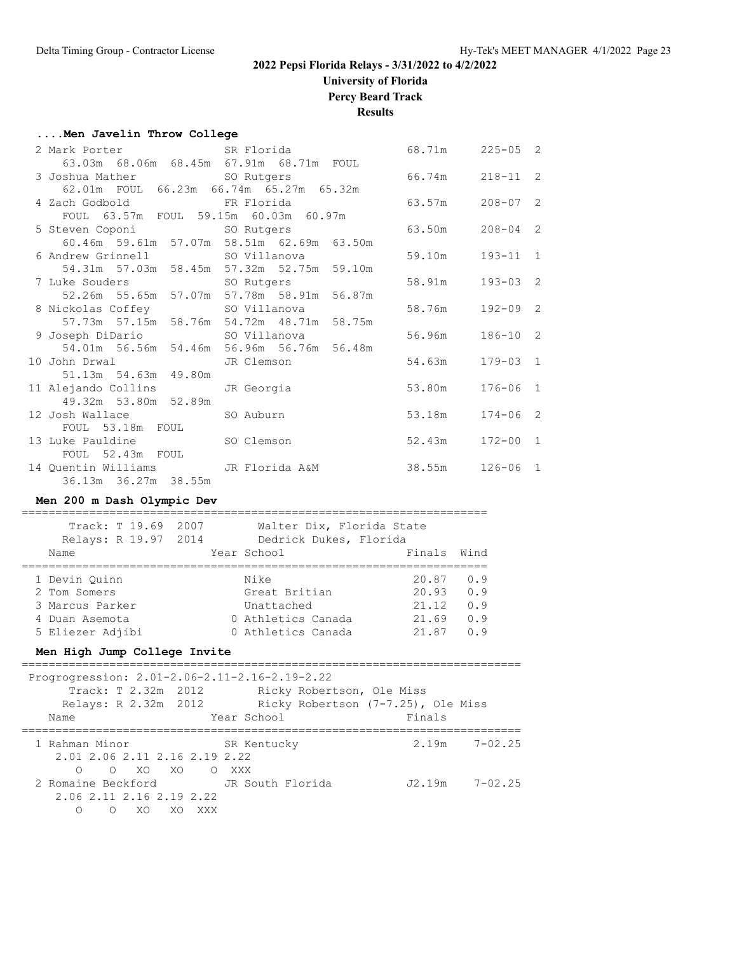# **University of Florida**

**Percy Beard Track**

### **Results**

#### **....Men Javelin Throw College**

|                                         | 3 Joshua Mather SO Rutgers 66.74m 218-11 2               |                  |              |  |
|-----------------------------------------|----------------------------------------------------------|------------------|--------------|--|
| 62.01m FOUL 66.23m 66.74m 65.27m 65.32m |                                                          |                  |              |  |
| 4 Zach Godbold KR Florida               | $63.57m$ 208-07 2                                        |                  |              |  |
| FOUL 63.57m FOUL 59.15m 60.03m 60.97m   |                                                          |                  |              |  |
| 5 Steven Coponi SO Rutgers              | $63.50m$ $208-04$ 2                                      |                  |              |  |
|                                         | 60.46m 59.61m 57.07m 58.51m 62.69m 63.50m                |                  |              |  |
|                                         | 6 Andrew Grinnell SO Villanova                           | 59.10m           | $193 - 11$ 1 |  |
|                                         | 54.31m 57.03m 58.45m 57.32m 52.75m 59.10m                |                  |              |  |
|                                         |                                                          |                  | $193 - 03$ 2 |  |
|                                         | 52.26m 55.65m 57.07m 57.78m 58.91m 56.87m                |                  |              |  |
| 8 Nickolas Coffey 50 Villanova          |                                                          | 58.76m 192-09 2  |              |  |
|                                         | 57.73m    57.15m    58.76m    54.72m    48.71m    58.75m |                  |              |  |
|                                         | 9 Joseph DiDario                         SO Villanova    | 56.96m           | $186 - 10$ 2 |  |
|                                         | 54.01m 56.56m 54.46m 56.96m 56.76m 56.48m                |                  |              |  |
|                                         |                                                          |                  | $179 - 03$ 1 |  |
| 51.13m 54.63m 49.80m                    |                                                          |                  |              |  |
| 11 Alejando Collins JR Georgia          | 53.80m                                                   |                  | $176 - 06$ 1 |  |
| 49.32m 53.80m 52.89m                    |                                                          |                  |              |  |
| 12 Josh Wallace SO Auburn               |                                                          | 53.18m  174-06 2 |              |  |
| FOUL 53.18m FOUL                        |                                                          |                  |              |  |
| 13 Luke Pauldine 50 Clemson             |                                                          | 52.43m 172-00 1  |              |  |
| FOUL 52.43m FOUL                        |                                                          |                  |              |  |
| 14 Quentin Williams GR Florida A&M      |                                                          | 38.55m 126-06 1  |              |  |
| 36.13m 36.27m 38.55m                    |                                                          |                  |              |  |

#### **Men 200 m Dash Olympic Dev**

| Track: T 19.69   | 2007 |                      |               |                                                         |                                                     |
|------------------|------|----------------------|---------------|---------------------------------------------------------|-----------------------------------------------------|
| Name             |      |                      |               | Finals                                                  | Wind                                                |
|                  |      |                      |               |                                                         |                                                     |
| 1 Devin Ouinn    |      |                      | Nike          | 20.87                                                   | 0.9                                                 |
| 2 Tom Somers     |      |                      | Great Britian | 20.93                                                   | 0.9                                                 |
| 3 Marcus Parker  |      |                      | Unattached    | 21.12                                                   | 0.9                                                 |
| 4 Duan Asemota   |      |                      |               | 21.69                                                   | 0.9                                                 |
| 5 Eliezer Adjibi |      |                      |               | 21.87                                                   | 0.9                                                 |
|                  |      | Relays: R 19.97 2014 |               | Year School<br>0 Athletics Canada<br>0 Athletics Canada | Walter Dix, Florida State<br>Dedrick Dukes, Florida |

#### **Men High Jump College Invite**

| Progrogression: 2.01-2.06-2.11-2.16-2.19-2.22 |                                    |        |                    |  |  |  |  |
|-----------------------------------------------|------------------------------------|--------|--------------------|--|--|--|--|
| Track: T 2.32m 2012                           | Ricky Robertson, Ole Miss          |        |                    |  |  |  |  |
| Relays: R 2.32m 2012                          | Ricky Robertson (7-7.25), Ole Miss |        |                    |  |  |  |  |
| Name                                          | Year School                        | Finals |                    |  |  |  |  |
|                                               |                                    |        |                    |  |  |  |  |
| 1 Rahman Minor                                | SR Kentucky                        |        | $2.19m$ $7-02.25$  |  |  |  |  |
| 2.01 2.06 2.11 2.16 2.19 2.22                 |                                    |        |                    |  |  |  |  |
| O XO XO O XXX<br>$\bigcirc$                   |                                    |        |                    |  |  |  |  |
| 2 Romaine Beckford                            | JR South Florida                   |        | $J2.19m$ $7-02.25$ |  |  |  |  |
| 2.06 2.11 2.16 2.19 2.22                      |                                    |        |                    |  |  |  |  |
| ∩<br>XO<br>XQ XXX<br>$\cap$                   |                                    |        |                    |  |  |  |  |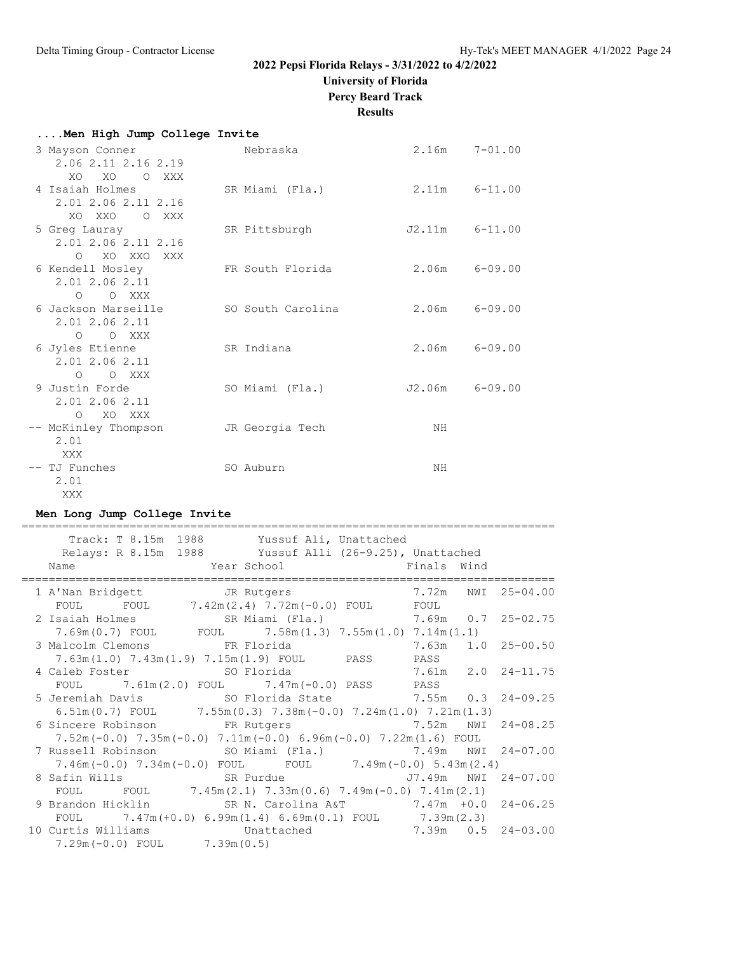# **University of Florida**

**Percy Beard Track**

# **Results**

| Men High Jump College Invite                                |                   |                 |                   |
|-------------------------------------------------------------|-------------------|-----------------|-------------------|
| 3 Mayson Conner<br>2.06 2.11 2.16 2.19                      | Nebraska          |                 | $2.16m$ $7-01.00$ |
| XO XO O XXX<br>4 Isaiah Holmes<br>2.01 2.06 2.11 2.16       | SR Miami (Fla.)   |                 | 2.11m 6-11.00     |
| XO XXO O XXX<br>5 Greg Lauray<br>2.01 2.06 2.11 2.16        | SR Pittsburgh     | J2.11m 6-11.00  |                   |
| O XO XXO XXX<br>6 Kendell Mosley<br>2.01 2.06 2.11          | FR South Florida  |                 | $2.06m$ $6-09.00$ |
| O O XXX<br>6 Jackson Marseille<br>2.01 2.06 2.11<br>O O XXX | SO South Carolina | $2.06m$ 6-09.00 |                   |
| 6 Jyles Etienne<br>2.01 2.06 2.11<br>O O XXX                | SR Indiana        |                 | $2.06m$ $6-09.00$ |
| 9 Justin Forde<br>2.01 2.06 2.11<br>O XO XXX                | SO Miami (Fla.)   | J2.06m 6-09.00  |                   |
| -- McKinley Thompson<br>2.01<br>XXX                         | JR Georgia Tech   | NH              |                   |
| -- TJ Funches<br>2.01<br>XXX                                | SO Auburn         | NH              |                   |

#### **Men Long Jump College Invite**

| Track: T 8.15m 1988 Yussuf Ali, Unattached                                                                         |  |  |
|--------------------------------------------------------------------------------------------------------------------|--|--|
| Relays: R 8.15m 1988 Yussuf Alli (26-9.25), Unattached                                                             |  |  |
| Year School <a> Finals Wind</a> Wind<br>Name                                                                       |  |  |
| 1 A'Nan Bridgett <a> JR</a> Rutgers<br>7.72m NWI 25-04.00                                                          |  |  |
| FOUL FOUL $7.42\text{m} (2.4)$ $7.72\text{m} (-0.0)$ FOUL FOUL                                                     |  |  |
| 2 Isaiah Holmes SR Miami (Fla.) 7.69m 0.7 25-02.75                                                                 |  |  |
| $7.69\text{m}(0.7)$ FOUL FOUL $7.58\text{m}(1.3)$ $7.55\text{m}(1.0)$ $7.14\text{m}(1.1)$                          |  |  |
| 3 Malcolm Clemons FR Florida<br>$7.63m$ $1.0$ $25-00.50$                                                           |  |  |
| 7.63m(1.0) 7.43m(1.9) 7.15m(1.9) FOUL PASS PASS                                                                    |  |  |
| 4 Caleb Foster 50 Florida 7.61m 2.0 24-11.75                                                                       |  |  |
| FOUL $7.61m(2.0)$ FOUL $7.47m(-0.0)$ PASS PASS                                                                     |  |  |
|                                                                                                                    |  |  |
| $6.51\text{m}(0.7)$ FOUL $7.55\text{m}(0.3)$ $7.38\text{m}(-0.0)$ $7.24\text{m}(1.0)$ $7.21\text{m}(1.3)$          |  |  |
| 6 Sincere Robinson FR Rutgers 7.52m NWI 24-08.25                                                                   |  |  |
| $7.52\text{m}$ (-0.0) $7.35\text{m}$ (-0.0) $7.11\text{m}$ (-0.0) 6.96 $\text{m}$ (-0.0) $7.22\text{m}$ (1.6) FOUL |  |  |
| 7 Russell Robinson             SO Miami (Fla.)               7.49m   NWI   24-07.00                                |  |  |
| $7.46m(-0.0)$ $7.34m(-0.0)$ FOUL FOUL $7.49m(-0.0)$ $5.43m(2.4)$                                                   |  |  |
| 8 Safin Wills                   SR Purdue                   J7.49m   NWI   24-07.00                                |  |  |
| FOUL FOUL $7.45m(2.1)$ $7.33m(0.6)$ $7.49m(-0.0)$ $7.41m(2.1)$                                                     |  |  |
| 9 Brandon Hicklin SR N. Carolina A&T 7.47m +0.0 24-06.25                                                           |  |  |
| FOUL $7.47m (+0.0) 6.99m (1.4) 6.69m (0.1) F0UL$ $7.39m (2.3)$                                                     |  |  |
| 10 Curtis Williams Chattached 7.39m 0.5 24-03.00                                                                   |  |  |
| $7.29m(-0.0)$ FOUL $7.39m(0.5)$                                                                                    |  |  |